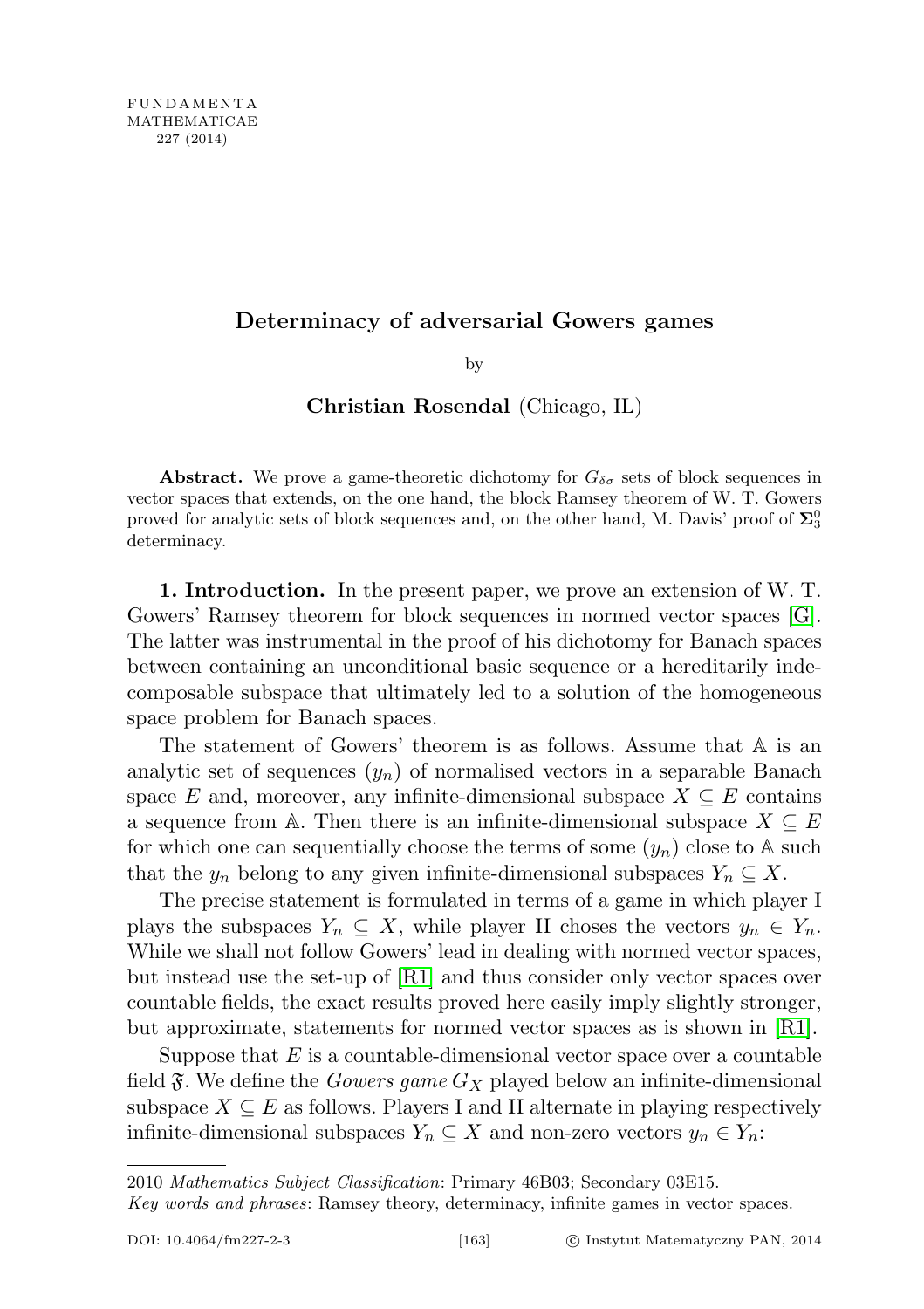# Determinacy of adversarial Gowers games

by

## Christian Rosendal (Chicago, IL)

**Abstract.** We prove a game-theoretic dichotomy for  $G_{\delta\sigma}$  sets of block sequences in vector spaces that extends, on the one hand, the block Ramsey theorem of W. T. Gowers proved for analytic sets of block sequences and, on the other hand, M. Davis' proof of  $\Sigma^0_3$ determinacy.

1. Introduction. In the present paper, we prove an extension of W. T. Gowers' Ramsey theorem for block sequences in normed vector spaces [\[G\]](#page-15-0). The latter was instrumental in the proof of his dichotomy for Banach spaces between containing an unconditional basic sequence or a hereditarily indecomposable subspace that ultimately led to a solution of the homogeneous space problem for Banach spaces.

The statement of Gowers' theorem is as follows. Assume that A is an analytic set of sequences  $(y_n)$  of normalised vectors in a separable Banach space E and, moreover, any infinite-dimensional subspace  $X \subseteq E$  contains a sequence from A. Then there is an infinite-dimensional subspace  $X \subseteq E$ for which one can sequentially choose the terms of some  $(y_n)$  close to A such that the  $y_n$  belong to any given infinite-dimensional subspaces  $Y_n \subseteq X$ .

The precise statement is formulated in terms of a game in which player I plays the subspaces  $Y_n \subseteq X$ , while player II choses the vectors  $y_n \in Y_n$ . While we shall not follow Gowers' lead in dealing with normed vector spaces, but instead use the set-up of [\[R1\]](#page-15-1) and thus consider only vector spaces over countable fields, the exact results proved here easily imply slightly stronger, but approximate, statements for normed vector spaces as is shown in [\[R1\]](#page-15-1).

Suppose that  $E$  is a countable-dimensional vector space over a countable field  $\mathfrak{F}$ . We define the *Gowers game*  $G_X$  played below an infinite-dimensional subspace  $X \subseteq E$  as follows. Players I and II alternate in playing respectively infinite-dimensional subspaces  $Y_n \subseteq X$  and non-zero vectors  $y_n \in Y_n$ :

<sup>2010</sup> Mathematics Subject Classification: Primary 46B03; Secondary 03E15.

Key words and phrases: Ramsey theory, determinacy, infinite games in vector spaces.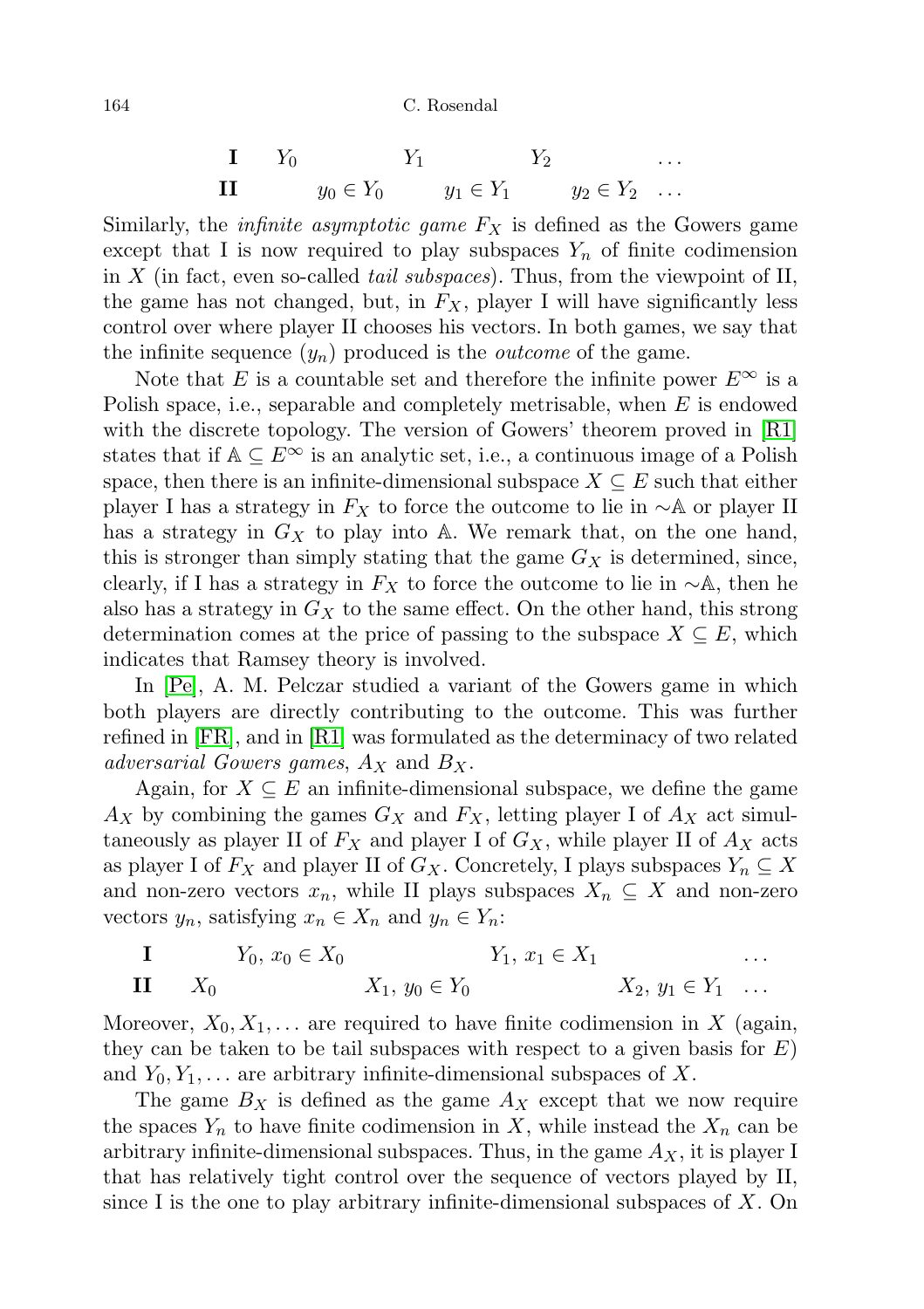164 C. Rosendal

$$
\begin{array}{ccccc}\n\mathbf{I} & Y_0 & Y_1 & Y_2 & \dots \\
\mathbf{II} & y_0 \in Y_0 & y_1 \in Y_1 & y_2 \in Y_2 & \dots\n\end{array}
$$

Similarly, the *infinite asymptotic game*  $F_X$  is defined as the Gowers game except that I is now required to play subspaces  $Y_n$  of finite codimension in X (in fact, even so-called *tail subspaces*). Thus, from the viewpoint of II, the game has not changed, but, in  $F_X$ , player I will have significantly less control over where player II chooses his vectors. In both games, we say that the infinite sequence  $(y_n)$  produced is the *outcome* of the game.

Note that E is a countable set and therefore the infinite power  $E^{\infty}$  is a Polish space, i.e., separable and completely metrisable, when E is endowed with the discrete topology. The version of Gowers' theorem proved in [\[R1\]](#page-15-1) states that if  $A \subseteq E^{\infty}$  is an analytic set, i.e., a continuous image of a Polish space, then there is an infinite-dimensional subspace  $X \subseteq E$  such that either player I has a strategy in  $F_X$  to force the outcome to lie in ∼A or player II has a strategy in  $G_X$  to play into A. We remark that, on the one hand, this is stronger than simply stating that the game  $G_X$  is determined, since, clearly, if I has a strategy in  $F_X$  to force the outcome to lie in ∼A, then he also has a strategy in  $G_X$  to the same effect. On the other hand, this strong determination comes at the price of passing to the subspace  $X \subseteq E$ , which indicates that Ramsey theory is involved.

In [\[Pe\]](#page-15-2), A. M. Pelczar studied a variant of the Gowers game in which both players are directly contributing to the outcome. This was further refined in [\[FR\]](#page-15-3), and in [\[R1\]](#page-15-1) was formulated as the determinacy of two related adversarial Gowers games,  $A_X$  and  $B_X$ .

Again, for  $X \subseteq E$  an infinite-dimensional subspace, we define the game  $A_X$  by combining the games  $G_X$  and  $F_X$ , letting player I of  $A_X$  act simultaneously as player II of  $F_X$  and player I of  $G_X$ , while player II of  $A_X$  acts as player I of  $F_X$  and player II of  $G_X$ . Concretely, I plays subspaces  $Y_n \subseteq X$ and non-zero vectors  $x_n$ , while II plays subspaces  $X_n \subseteq X$  and non-zero vectors  $y_n$ , satisfying  $x_n \in X_n$  and  $y_n \in Y_n$ :

**I** 
$$
Y_0, x_0 \in X_0
$$
  $Y_1, y_1 \in X_1$  ...  
\n**II**  $X_0$   $X_1, y_0 \in Y_0$   $X_2, y_1 \in Y_1$  ...

Moreover,  $X_0, X_1, \ldots$  are required to have finite codimension in X (again, they can be taken to be tail subspaces with respect to a given basis for  $E$ ) and  $Y_0, Y_1, \ldots$  are arbitrary infinite-dimensional subspaces of X.

The game  $B_X$  is defined as the game  $A_X$  except that we now require the spaces  $Y_n$  to have finite codimension in X, while instead the  $X_n$  can be arbitrary infinite-dimensional subspaces. Thus, in the game  $A_X$ , it is player I that has relatively tight control over the sequence of vectors played by II, since I is the one to play arbitrary infinite-dimensional subspaces of  $X$ . On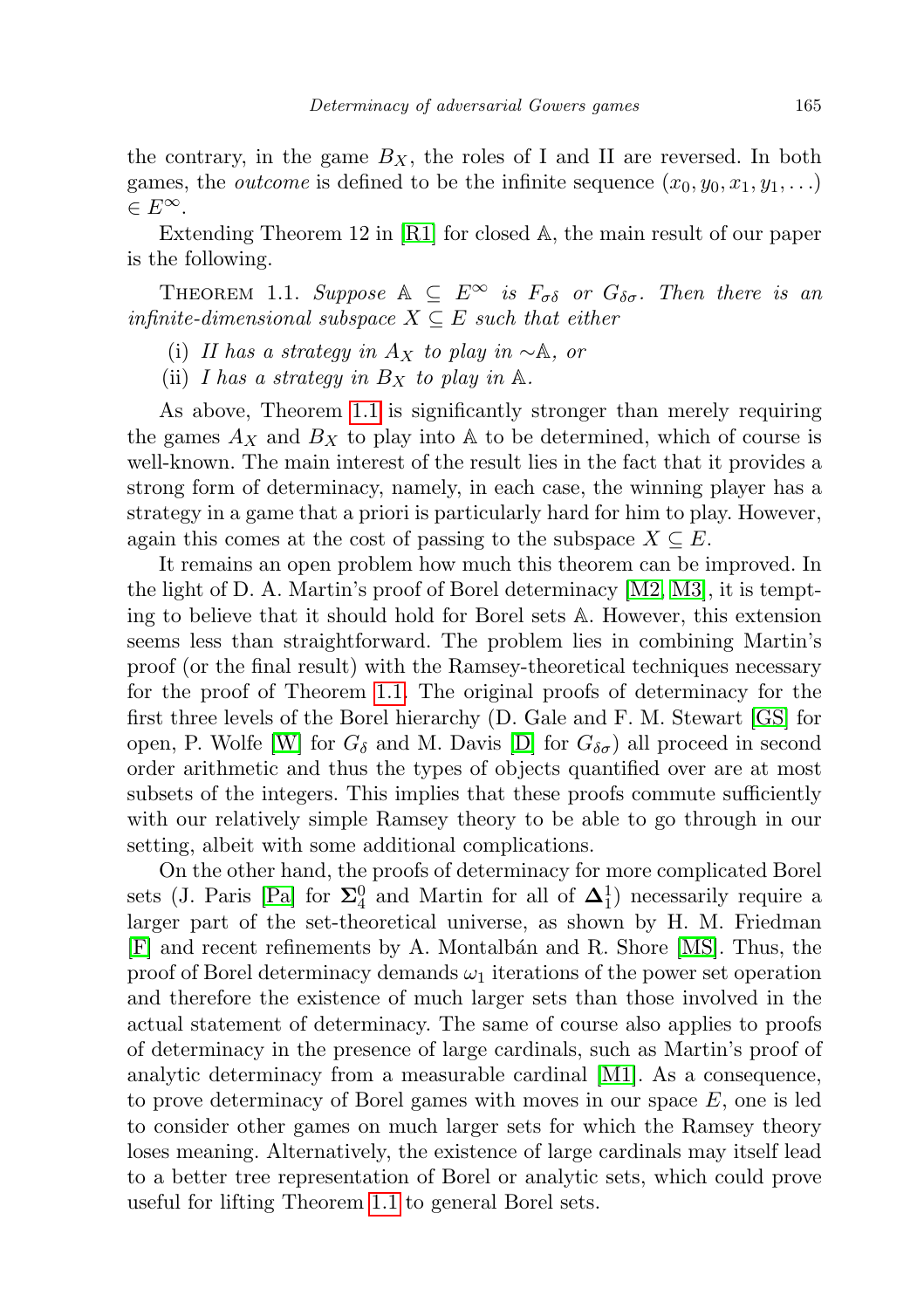the contrary, in the game  $B_X$ , the roles of I and II are reversed. In both games, the *outcome* is defined to be the infinite sequence  $(x_0, y_0, x_1, y_1, \ldots)$  $\in E^{\infty}.$ 

Extending Theorem 12 in [\[R1\]](#page-15-1) for closed A, the main result of our paper is the following.

<span id="page-2-0"></span>THEOREM 1.1. Suppose  $A \subseteq E^{\infty}$  is  $F_{\sigma\delta}$  or  $G_{\delta\sigma}$ . Then there is an infinite-dimensional subspace  $X \subseteq E$  such that either

- (i) II has a strategy in  $A_X$  to play in ∼A, or
- (ii) I has a strategy in  $B_X$  to play in  $\mathbb A$ .

As above, Theorem [1.1](#page-2-0) is significantly stronger than merely requiring the games  $A_X$  and  $B_X$  to play into A to be determined, which of course is well-known. The main interest of the result lies in the fact that it provides a strong form of determinacy, namely, in each case, the winning player has a strategy in a game that a priori is particularly hard for him to play. However, again this comes at the cost of passing to the subspace  $X \subseteq E$ .

It remains an open problem how much this theorem can be improved. In the light of D. A. Martin's proof of Borel determinacy [\[M2,](#page-15-4) [M3\]](#page-15-5), it is tempting to believe that it should hold for Borel sets A. However, this extension seems less than straightforward. The problem lies in combining Martin's proof (or the final result) with the Ramsey-theoretical techniques necessary for the proof of Theorem [1.1.](#page-2-0) The original proofs of determinacy for the first three levels of the Borel hierarchy (D. Gale and F. M. Stewart [\[GS\]](#page-15-6) for open, P. Wolfe [\[W\]](#page-15-7) for  $G_{\delta}$  and M. Davis [\[D\]](#page-15-8) for  $G_{\delta\sigma}$ ) all proceed in second order arithmetic and thus the types of objects quantified over are at most subsets of the integers. This implies that these proofs commute sufficiently with our relatively simple Ramsey theory to be able to go through in our setting, albeit with some additional complications.

On the other hand, the proofs of determinacy for more complicated Borel sets (J. Paris [\[Pa\]](#page-15-9) for  $\Sigma_4^0$  and Martin for all of  $\Delta_1^1$ ) necessarily require a larger part of the set-theoretical universe, as shown by H. M. Friedman [\[F\]](#page-15-10) and recent refinements by A. Montalb´an and R. Shore [\[MS\]](#page-15-11). Thus, the proof of Borel determinacy demands  $\omega_1$  iterations of the power set operation and therefore the existence of much larger sets than those involved in the actual statement of determinacy. The same of course also applies to proofs of determinacy in the presence of large cardinals, such as Martin's proof of analytic determinacy from a measurable cardinal [\[M1\]](#page-15-12). As a consequence, to prove determinacy of Borel games with moves in our space  $E$ , one is led to consider other games on much larger sets for which the Ramsey theory loses meaning. Alternatively, the existence of large cardinals may itself lead to a better tree representation of Borel or analytic sets, which could prove useful for lifting Theorem [1.1](#page-2-0) to general Borel sets.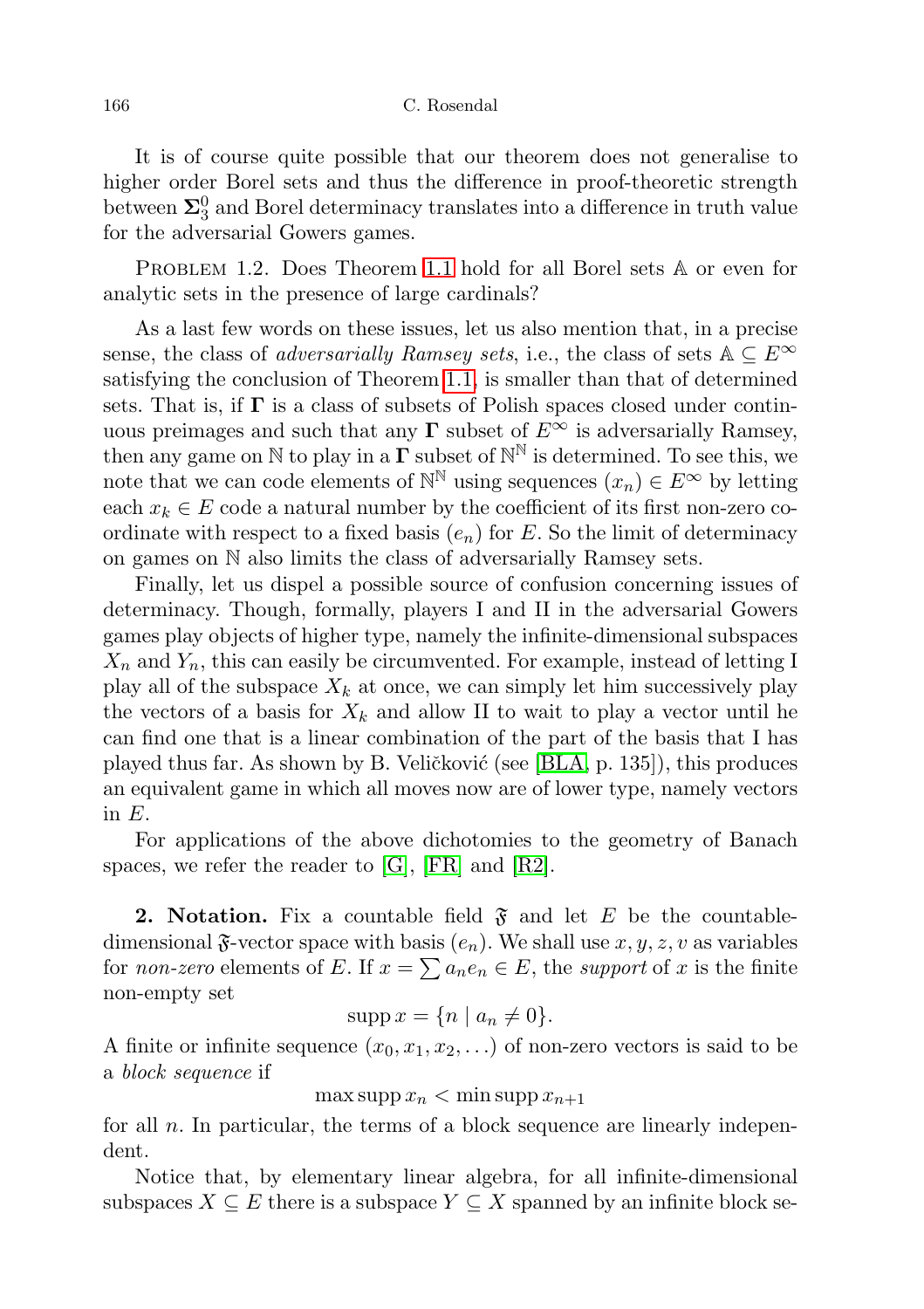#### 166 C. Rosendal

It is of course quite possible that our theorem does not generalise to higher order Borel sets and thus the difference in proof-theoretic strength between  $\mathbf{\Sigma}_3^0$  and Borel determinacy translates into a difference in truth value for the adversarial Gowers games.

PROBLEM 1.2. Does Theorem [1.1](#page-2-0) hold for all Borel sets  $A$  or even for analytic sets in the presence of large cardinals?

As a last few words on these issues, let us also mention that, in a precise sense, the class of *adversarially Ramsey sets*, i.e., the class of sets  $A \subseteq E^{\infty}$ satisfying the conclusion of Theorem [1.1,](#page-2-0) is smaller than that of determined sets. That is, if  $\Gamma$  is a class of subsets of Polish spaces closed under continuous preimages and such that any  $\Gamma$  subset of  $E^{\infty}$  is adversarially Ramsey, then any game on  $\mathbb N$  to play in a  $\Gamma$  subset of  $\mathbb N^{\mathbb N}$  is determined. To see this, we note that we can code elements of  $\mathbb{N}^{\mathbb{N}}$  using sequences  $(x_n) \in E^{\infty}$  by letting each  $x_k \in E$  code a natural number by the coefficient of its first non-zero coordinate with respect to a fixed basis  $(e_n)$  for E. So the limit of determinacy on games on N also limits the class of adversarially Ramsey sets.

Finally, let us dispel a possible source of confusion concerning issues of determinacy. Though, formally, players I and II in the adversarial Gowers games play objects of higher type, namely the infinite-dimensional subspaces  $X_n$  and  $Y_n$ , this can easily be circumvented. For example, instead of letting I play all of the subspace  $X_k$  at once, we can simply let him successively play the vectors of a basis for  $X_k$  and allow II to wait to play a vector until he can find one that is a linear combination of the part of the basis that I has played thus far. As shown by B. Veličković (see [\[BLA,](#page-15-13) p. 135]), this produces an equivalent game in which all moves now are of lower type, namely vectors in E.

For applications of the above dichotomies to the geometry of Banach spaces, we refer the reader to [\[G\]](#page-15-0), [\[FR\]](#page-15-3) and [\[R2\]](#page-15-14).

**2. Notation.** Fix a countable field  $\mathfrak{F}$  and let E be the countabledimensional  $\mathfrak{F}\text{-vector space with basis } (e_n)$ . We shall use  $x, y, z, v$  as variables for *non-zero* elements of E. If  $x = \sum a_n e_n \in E$ , the *support* of x is the finite non-empty set

$$
supp x = \{n \mid a_n \neq 0\}.
$$

A finite or infinite sequence  $(x_0, x_1, x_2, ...)$  of non-zero vectors is said to be a block sequence if

 $\max \operatorname{supp} x_n < \min \operatorname{supp} x_{n+1}$ 

for all  $n$ . In particular, the terms of a block sequence are linearly independent.

Notice that, by elementary linear algebra, for all infinite-dimensional subspaces  $X \subseteq E$  there is a subspace  $Y \subseteq X$  spanned by an infinite block se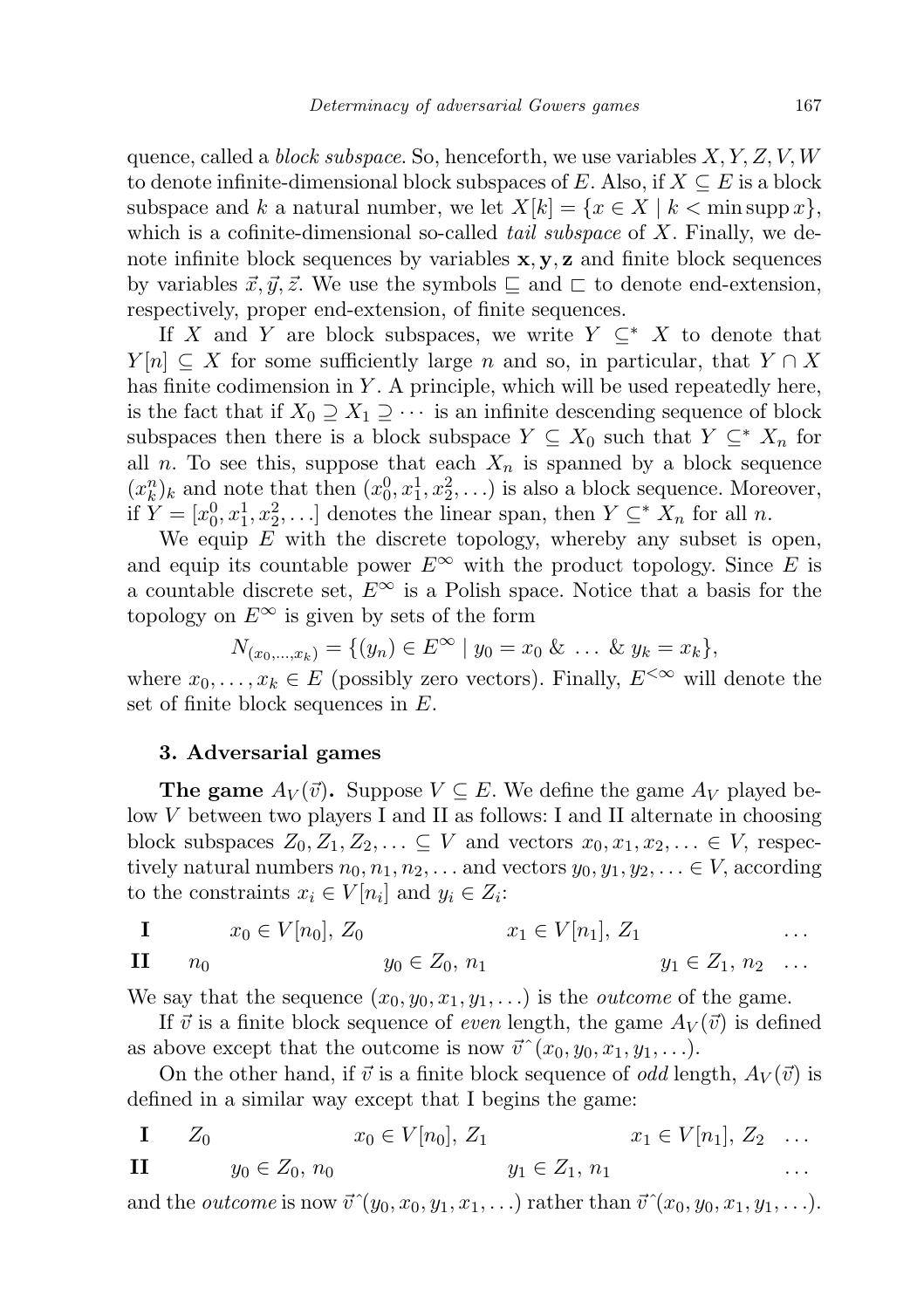quence, called a *block subspace*. So, henceforth, we use variables  $X, Y, Z, V, W$ to denote infinite-dimensional block subspaces of E. Also, if  $X \subseteq E$  is a block subspace and k a natural number, we let  $X[k] = \{x \in X \mid k < \min \text{supp } x\},\$ which is a cofinite-dimensional so-called *tail subspace* of  $X$ . Finally, we denote infinite block sequences by variables  $x, y, z$  and finite block sequences by variables  $\vec{x}, \vec{y}, \vec{z}$ . We use the symbols  $\sqsubseteq$  and  $\sqsubset$  to denote end-extension, respectively, proper end-extension, of finite sequences.

If X and Y are block subspaces, we write  $Y \subseteq^* X$  to denote that  $Y[n] \subseteq X$  for some sufficiently large n and so, in particular, that  $Y \cap X$ has finite codimension in  $Y$ . A principle, which will be used repeatedly here, is the fact that if  $X_0 \supseteq X_1 \supseteq \cdots$  is an infinite descending sequence of block subspaces then there is a block subspace  $Y \subseteq X_0$  such that  $Y \subseteq^* X_n$  for all n. To see this, suppose that each  $X_n$  is spanned by a block sequence  $(x_k^n)_k$  and note that then  $(x_0^0, x_1^1, x_2^2, \ldots)$  is also a block sequence. Moreover, if  $\tilde{Y} = [x_0^0, x_1^1, x_2^2, \ldots]$  denotes the linear span, then  $Y \subseteq^* X_n$  for all n.

We equip  $E$  with the discrete topology, whereby any subset is open, and equip its countable power  $E^{\infty}$  with the product topology. Since E is a countable discrete set,  $E^{\infty}$  is a Polish space. Notice that a basis for the topology on  $E^{\infty}$  is given by sets of the form

$$
N_{(x_0,...,x_k)} = \{(y_n) \in E^{\infty} \mid y_0 = x_0 \& \dots \& y_k = x_k\},\
$$

where  $x_0, \ldots, x_k \in E$  (possibly zero vectors). Finally,  $E^{\leq \infty}$  will denote the set of finite block sequences in E.

## 3. Adversarial games

**The game**  $A_V(\vec{v})$ . Suppose  $V \subseteq E$ . We define the game  $A_V$  played below V between two players I and II as follows: I and II alternate in choosing block subspaces  $Z_0, Z_1, Z_2, \ldots \subseteq V$  and vectors  $x_0, x_1, x_2, \ldots \in V$ , respectively natural numbers  $n_0, n_1, n_2, \ldots$  and vectors  $y_0, y_1, y_2, \ldots \in V$ , according to the constraints  $x_i \in V[n_i]$  and  $y_i \in Z_i$ :

**I** 
$$
x_0 \in V[n_0], Z_0
$$
  $x_1 \in V[n_1], Z_1$  ...  
\n**II**  $n_0$   $y_0 \in Z_0, n_1$   $y_1 \in Z_1, n_2$  ...

We say that the sequence  $(x_0, y_0, x_1, y_1, ...)$  is the *outcome* of the game.

If  $\vec{v}$  is a finite block sequence of *even* length, the game  $A_V(\vec{v})$  is defined as above except that the outcome is now  $\vec{v}^{\,\,\gamma}(x_0, y_0, x_1, y_1, \ldots)$ .

On the other hand, if  $\vec{v}$  is a finite block sequence of *odd* length,  $A_V(\vec{v})$  is defined in a similar way except that I begins the game:

I  $Z_0$   $x_0 \in V[n_0], Z_1$   $x_1 \in V[n_1], Z_2$  ... II  $y_0 \in Z_0, n_0$   $y_1 \in Z_1, n_1$ 

and the *outcome* is now  $\vec{v}^*(y_0, x_0, y_1, x_1, \ldots)$  rather than  $\vec{v}^*(x_0, y_0, x_1, y_1, \ldots)$ .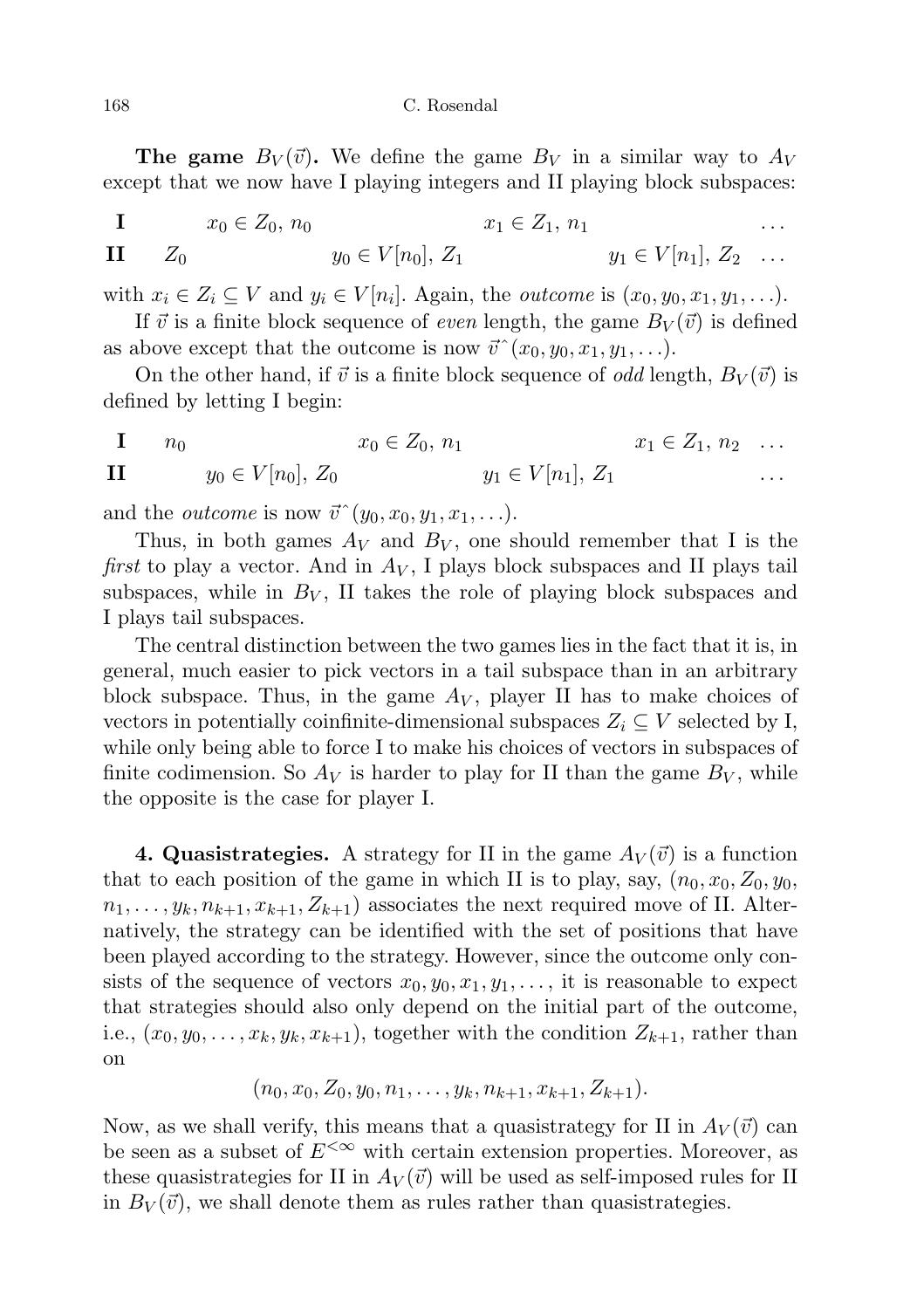**The game**  $B_V(\vec{v})$ . We define the game  $B_V$  in a similar way to  $A_V$ except that we now have I playing integers and II playing block subspaces:

I  $x_0 \in Z_0, n_0$   $x_1 \in Z_1, n_1$ II  $Z_0$   $y_0 \in V[n_0], Z_1$   $y_1 \in V[n_1], Z_2$  ...

with  $x_i \in Z_i \subseteq V$  and  $y_i \in V[n_i]$ . Again, the *outcome* is  $(x_0, y_0, x_1, y_1, \ldots)$ .

If  $\vec{v}$  is a finite block sequence of *even* length, the game  $B_V (\vec{v})$  is defined as above except that the outcome is now  $\vec{v}^{\,\,\,\gamma}(x_0, y_0, x_1, y_1, \ldots)$ .

On the other hand, if  $\vec{v}$  is a finite block sequence of *odd* length,  $B_V(\vec{v})$  is defined by letting I begin:

**I** 
$$
n_0
$$
  $x_0 \in Z_0$ ,  $n_1$   $x_1 \in Z_1$ ,  $n_2$  ...  
\n**II**  $y_0 \in V[n_0]$ ,  $Z_0$   $y_1 \in V[n_1]$ ,  $Z_1$  ...

and the *outcome* is now  $\vec{v}^*(y_0, x_0, y_1, x_1, \ldots)$ .

Thus, in both games  $A_V$  and  $B_V$ , one should remember that I is the first to play a vector. And in  $A_V$ , I plays block subspaces and II plays tail subspaces, while in  $B_V$ , II takes the role of playing block subspaces and I plays tail subspaces.

The central distinction between the two games lies in the fact that it is, in general, much easier to pick vectors in a tail subspace than in an arbitrary block subspace. Thus, in the game  $A_V$ , player II has to make choices of vectors in potentially coinfinite-dimensional subspaces  $Z_i \subseteq V$  selected by I, while only being able to force I to make his choices of vectors in subspaces of finite codimension. So  $A_V$  is harder to play for II than the game  $B_V$ , while the opposite is the case for player I.

4. Quasistrategies. A strategy for II in the game  $A_V(\vec{v})$  is a function that to each position of the game in which II is to play, say,  $(n_0, x_0, Z_0, y_0,$  $n_1, \ldots, y_k, n_{k+1}, x_{k+1}, Z_{k+1}$  associates the next required move of II. Alternatively, the strategy can be identified with the set of positions that have been played according to the strategy. However, since the outcome only consists of the sequence of vectors  $x_0, y_0, x_1, y_1, \ldots$ , it is reasonable to expect that strategies should also only depend on the initial part of the outcome, i.e.,  $(x_0, y_0, \ldots, x_k, y_k, x_{k+1})$ , together with the condition  $Z_{k+1}$ , rather than on

$$
(n_0, x_0, Z_0, y_0, n_1, \ldots, y_k, n_{k+1}, x_{k+1}, Z_{k+1}).
$$

Now, as we shall verify, this means that a quasistrategy for II in  $A_V(\vec{v})$  can be seen as a subset of  $E^{\leq \infty}$  with certain extension properties. Moreover, as these quasistrategies for II in  $A_V(\vec{v})$  will be used as self-imposed rules for II in  $B_V(\vec{v})$ , we shall denote them as rules rather than quasistrategies.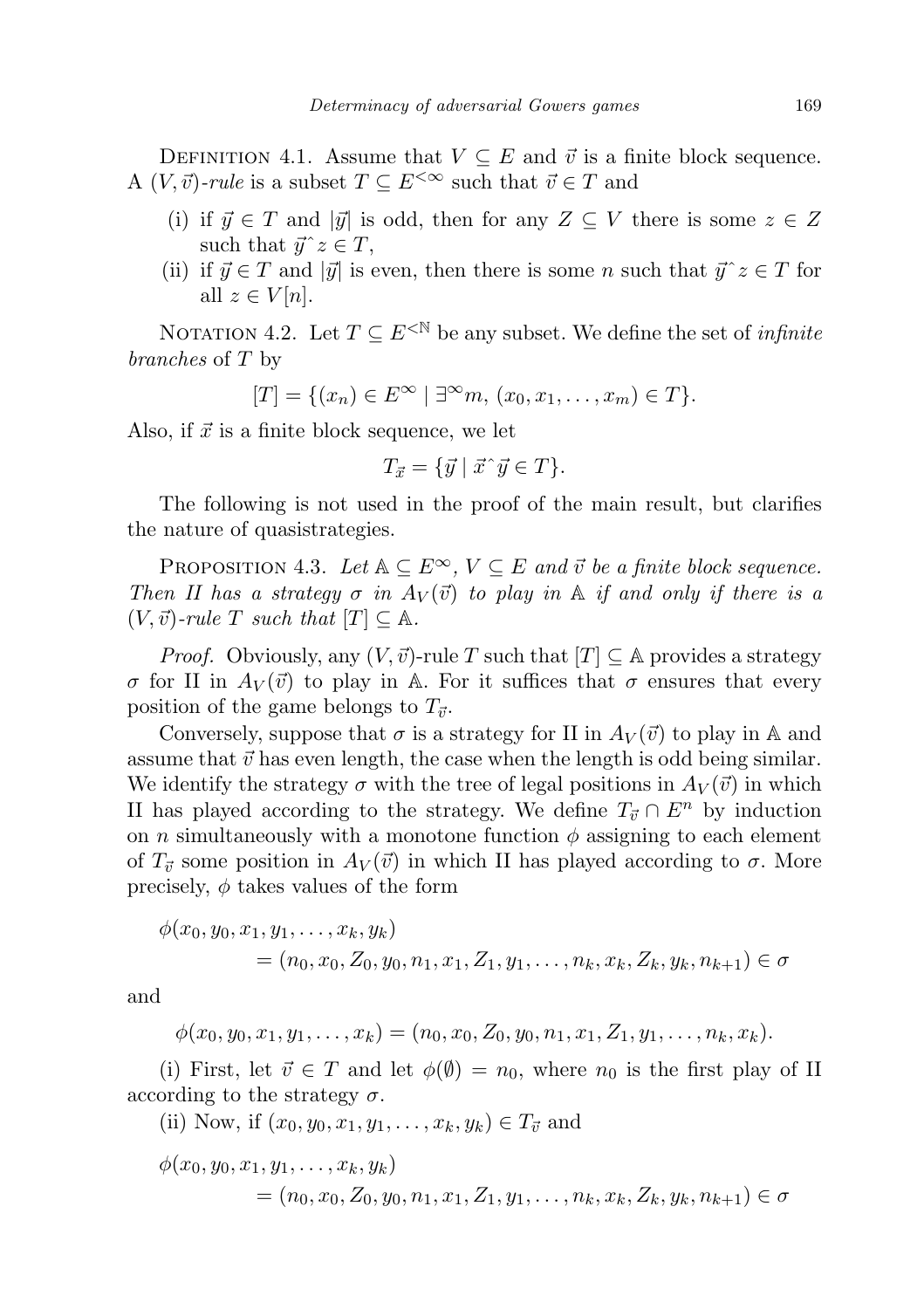DEFINITION 4.1. Assume that  $V \subseteq E$  and  $\vec{v}$  is a finite block sequence. A  $(V, \vec{v})$ -rule is a subset  $T \subseteq E^{<\infty}$  such that  $\vec{v} \in T$  and

- (i) if  $\vec{y} \in T$  and  $|\vec{y}|$  is odd, then for any  $Z \subseteq V$  there is some  $z \in Z$ such that  $\vec{y}$   $z \in T$ ,
- (ii) if  $\vec{y} \in T$  and  $|\vec{y}|$  is even, then there is some n such that  $\vec{y}~z \in T$  for all  $z \in V[n]$ .

NOTATION 4.2. Let  $T \subseteq E^{\langle \mathbb{N} \rangle}$  be any subset. We define the set of *infinite* branches of T by

$$
[T] = \{(x_n) \in E^{\infty} \mid \exists^{\infty} m, (x_0, x_1, \dots, x_m) \in T\}.
$$

Also, if  $\vec{x}$  is a finite block sequence, we let

$$
T_{\vec{x}} = \{ \vec{y} \mid \vec{x} \hat{\ } \vec{y} \in T \}.
$$

The following is not used in the proof of the main result, but clarifies the nature of quasistrategies.

PROPOSITION 4.3. Let  $A \subseteq E^{\infty}$ ,  $V \subseteq E$  and  $\vec{v}$  be a finite block sequence. Then II has a strategy  $\sigma$  in  $A_V(\vec{v})$  to play in A if and only if there is a  $(V, \vec{v})$ -rule T such that  $[T] \subset \mathbb{A}$ .

*Proof.* Obviously, any  $(V, \vec{v})$ -rule T such that  $|T| \subseteq A$  provides a strategy σ for II in  $A_V(\vec{v})$  to play in A. For it suffices that σ ensures that every position of the game belongs to  $T_{\vec{v}}$ .

Conversely, suppose that  $\sigma$  is a strategy for II in  $A_V(\vec{v})$  to play in A and assume that  $\vec{v}$  has even length, the case when the length is odd being similar. We identify the strategy  $\sigma$  with the tree of legal positions in  $A_V(\vec{v})$  in which II has played according to the strategy. We define  $T_{\vec{v}} \cap E^n$  by induction on n simultaneously with a monotone function  $\phi$  assigning to each element of  $T_{\vec{v}}$  some position in  $A_V(\vec{v})$  in which II has played according to  $\sigma$ . More precisely,  $\phi$  takes values of the form

$$
\phi(x_0, y_0, x_1, y_1, \dots, x_k, y_k)
$$
  
=  $(n_0, x_0, Z_0, y_0, n_1, x_1, Z_1, y_1, \dots, n_k, x_k, Z_k, y_k, n_{k+1}) \in \sigma$ 

and

$$
\phi(x_0,y_0,x_1,y_1,\ldots,x_k)=(n_0,x_0,Z_0,y_0,n_1,x_1,Z_1,y_1,\ldots,n_k,x_k).
$$

(i) First, let  $\vec{v} \in T$  and let  $\phi(\emptyset) = n_0$ , where  $n_0$  is the first play of II according to the strategy  $\sigma$ .

(ii) Now, if  $(x_0, y_0, x_1, y_1, \ldots, x_k, y_k) \in T_{\vec{v}}$  and

$$
\phi(x_0, y_0, x_1, y_1, \dots, x_k, y_k) = (n_0, x_0, Z_0, y_0, n_1, x_1, Z_1, y_1, \dots, n_k, x_k, Z_k, y_k, n_{k+1}) \in \sigma
$$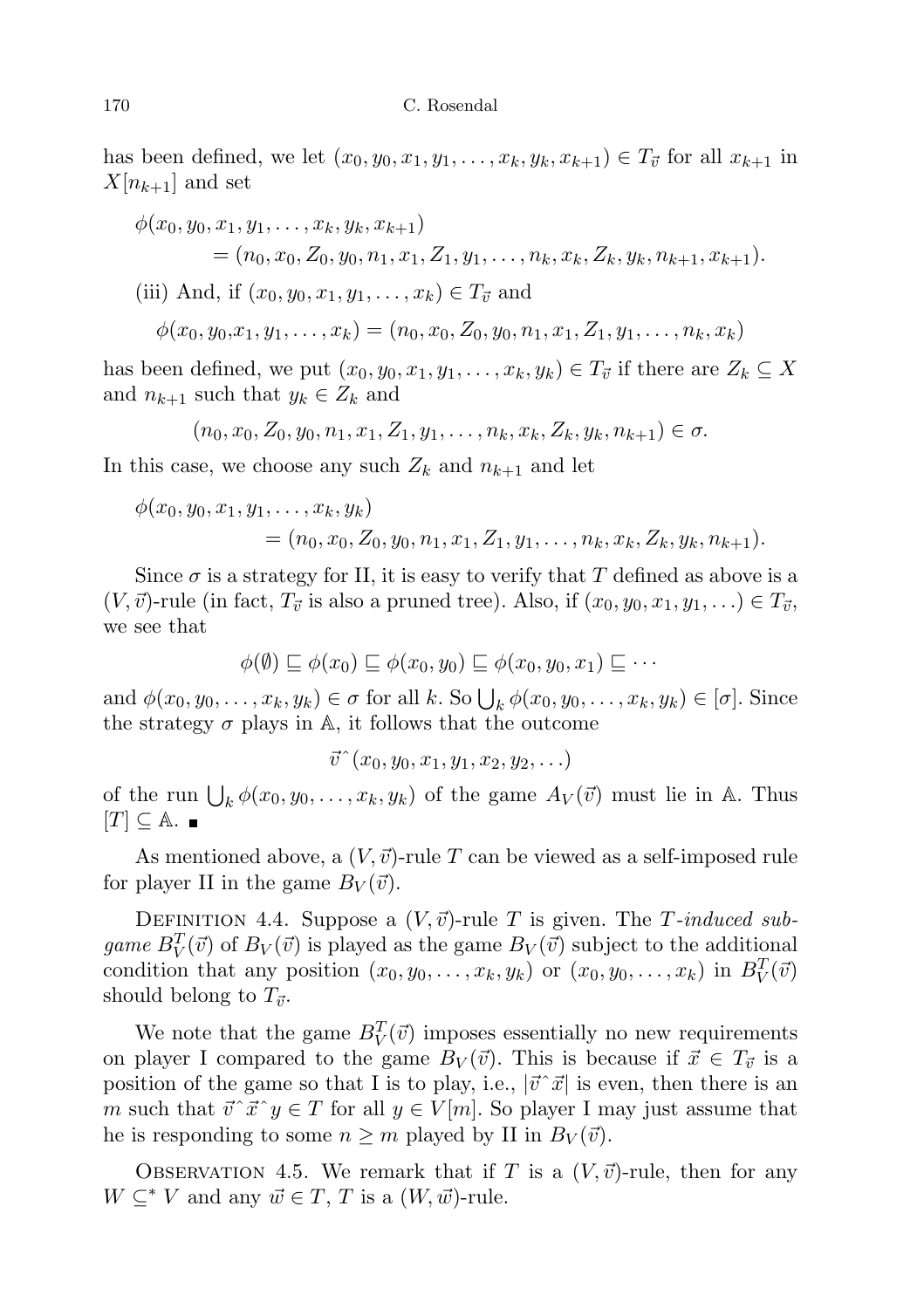has been defined, we let  $(x_0, y_0, x_1, y_1, \ldots, x_k, y_k, x_{k+1}) \in T_{\vec{v}}$  for all  $x_{k+1}$  in  $X[n_{k+1}]$  and set

$$
\phi(x_0, y_0, x_1, y_1, \dots, x_k, y_k, x_{k+1})
$$
\n
$$
= (n_0, x_0, Z_0, y_0, n_1, x_1, Z_1, y_1, \dots, n_k, x_k, Z_k, y_k, n_{k+1}, x_{k+1}).
$$
\n(iii) And, if  $(x_0, y_0, x_1, y_1, \dots, x_k) \in T_{\vec{v}}$  and\n
$$
\phi(x_0, y_0, x_1, y_1, \dots, x_k) = (n_0, x_0, Z_0, y_0, n_1, x_1, Z_1, y_1, \dots, n_k, x_k)
$$

has been defined, we put  $(x_0, y_0, x_1, y_1, \ldots, x_k, y_k) \in T_{\vec{v}}$  if there are  $Z_k \subseteq X$ and  $n_{k+1}$  such that  $y_k \in Z_k$  and

$$
(n_0, x_0, Z_0, y_0, n_1, x_1, Z_1, y_1, \ldots, n_k, x_k, Z_k, y_k, n_{k+1}) \in \sigma.
$$

In this case, we choose any such  $Z_k$  and  $n_{k+1}$  and let

$$
\phi(x_0, y_0, x_1, y_1, \dots, x_k, y_k) = (n_0, x_0, Z_0, y_0, n_1, x_1, Z_1, y_1, \dots, n_k, x_k, Z_k, y_k, n_{k+1}).
$$

Since  $\sigma$  is a strategy for II, it is easy to verify that T defined as above is a  $(V, \vec{v})$ -rule (in fact,  $T_{\vec{v}}$  is also a pruned tree). Also, if  $(x_0, y_0, x_1, y_1, ...) \in T_{\vec{v}}$ , we see that

$$
\phi(\emptyset) \sqsubseteq \phi(x_0) \sqsubseteq \phi(x_0, y_0) \sqsubseteq \phi(x_0, y_0, x_1) \sqsubseteq \cdots
$$

and  $\phi(x_0, y_0, \ldots, x_k, y_k) \in \sigma$  for all k. So  $\bigcup_k \phi(x_0, y_0, \ldots, x_k, y_k) \in [\sigma]$ . Since the strategy  $\sigma$  plays in A, it follows that the outcome

$$
\vec{v}^{\,\,\hat{}}(x_0,y_0,x_1,y_1,x_2,y_2,\ldots)
$$

of the run  $\bigcup_k \phi(x_0, y_0, \ldots, x_k, y_k)$  of the game  $A_V(\vec{v})$  must lie in A. Thus  $[T] \subseteq \mathbb{A}$ . ■

As mentioned above, a  $(V, \vec{v})$ -rule T can be viewed as a self-imposed rule for player II in the game  $B_V(\vec{v})$ .

DEFINITION 4.4. Suppose a  $(V, \vec{v})$ -rule T is given. The T-induced subgame  $B_V^T(\vec{v})$  of  $B_V(\vec{v})$  is played as the game  $B_V(\vec{v})$  subject to the additional condition that any position  $(x_0, y_0, \ldots, x_k, y_k)$  or  $(x_0, y_0, \ldots, x_k)$  in  $B_V^T(\vec{v})$ should belong to  $T_{\vec{v}}$ .

We note that the game  $B_V^T(\vec{v})$  imposes essentially no new requirements on player I compared to the game  $B_V(\vec{v})$ . This is because if  $\vec{x} \in T_{\vec{v}}$  is a position of the game so that I is to play, i.e.,  $|\vec{v} \hat{z}|$  is even, then there is an m such that  $\vec{v}~\vec{x}~y \in T$  for all  $y \in V[m]$ . So player I may just assume that he is responding to some  $n \geq m$  played by II in  $B_V(\vec{v})$ .

OBSERVATION 4.5. We remark that if T is a  $(V, \vec{v})$ -rule, then for any  $W \subseteq^* V$  and any  $\vec{w} \in T$ , T is a  $(W, \vec{w})$ -rule.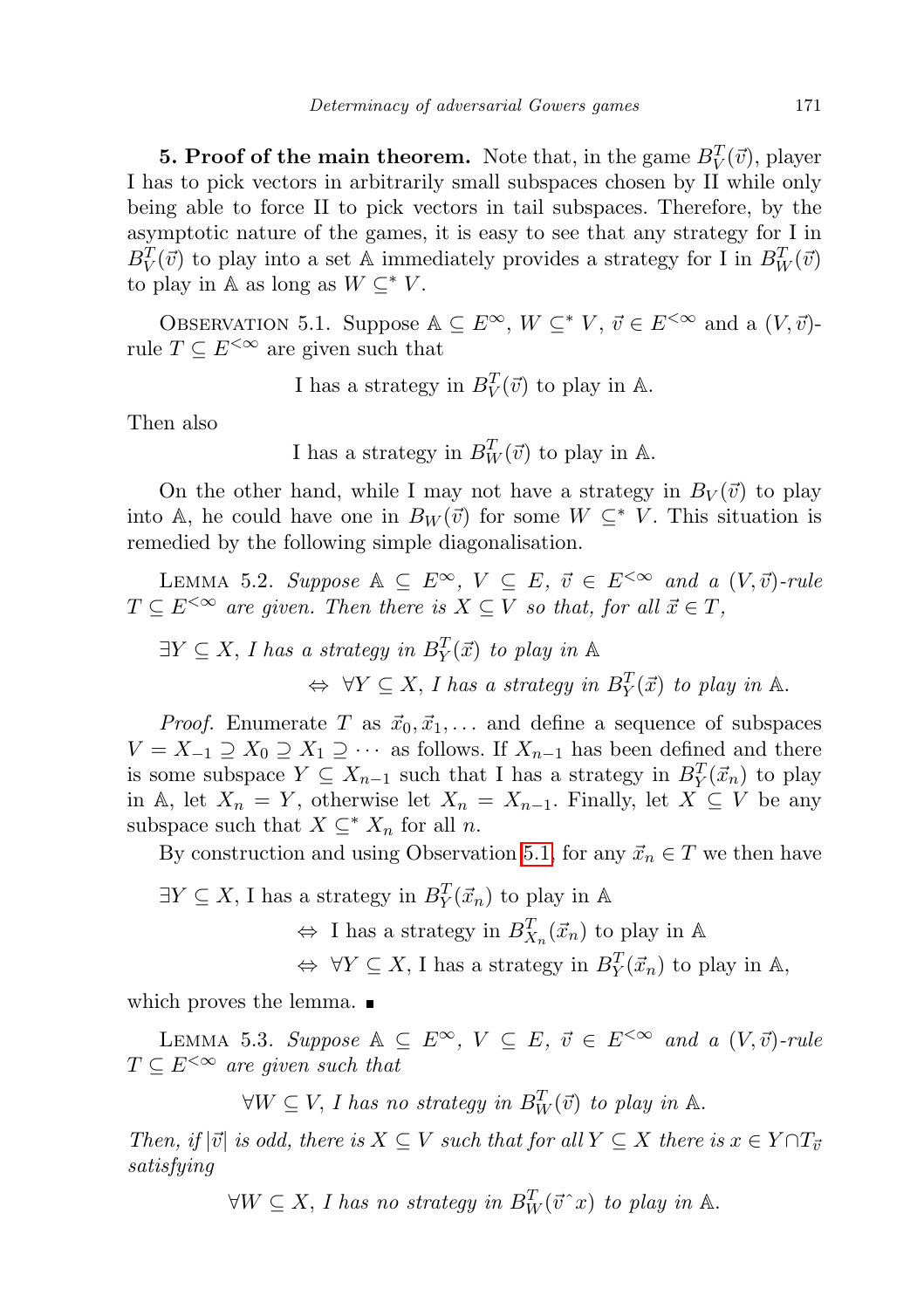**5. Proof of the main theorem.** Note that, in the game  $B_V^T(\vec{v})$ , player I has to pick vectors in arbitrarily small subspaces chosen by II while only being able to force II to pick vectors in tail subspaces. Therefore, by the asymptotic nature of the games, it is easy to see that any strategy for I in  $B_V^T(\vec{v})$  to play into a set A immediately provides a strategy for I in  $B_W^T(\vec{v})$ to play in A as long as  $W \subseteq K$ .

<span id="page-8-0"></span>OBSERVATION 5.1. Suppose  $\mathbb{A} \subseteq E^{\infty}$ ,  $W \subseteq^* V$ ,  $\vec{v} \in E^{<\infty}$  and a  $(V, \vec{v})$ rule  $T \subseteq E^{\leq \infty}$  are given such that

I has a strategy in  $B_V^T(\vec{v})$  to play in A.

Then also

I has a strategy in 
$$
B_W^T(\vec{v})
$$
 to play in A.

On the other hand, while I may not have a strategy in  $B_V(\vec{v})$  to play into A, he could have one in  $B_W(\vec{v})$  for some  $W \subseteq^* V$ . This situation is remedied by the following simple diagonalisation.

<span id="page-8-1"></span>LEMMA 5.2. Suppose  $A \subseteq E^{\infty}$ ,  $V \subseteq E$ ,  $\vec{v} \in E^{<\infty}$  and a  $(V, \vec{v})$ -rule  $T \subseteq E^{\leq \infty}$  are given. Then there is  $X \subseteq V$  so that, for all  $\vec{x} \in T$ ,

 $\exists Y \subseteq X$ , I has a strategy in  $B_Y^T(\vec{x})$  to play in  $\mathbb{A}$  $\Leftrightarrow \forall Y \subseteq X, I$  has a strategy in  $B_Y^T(\vec{x})$  to play in A.

*Proof.* Enumerate T as  $\vec{x}_0, \vec{x}_1, \dots$  and define a sequence of subspaces  $V = X_{-1} \supseteq X_0 \supseteq X_1 \supseteq \cdots$  as follows. If  $X_{n-1}$  has been defined and there is some subspace  $Y \subseteq X_{n-1}$  such that I has a strategy in  $B_Y^T(\vec{x}_n)$  to play in A, let  $X_n = Y$ , otherwise let  $X_n = X_{n-1}$ . Finally, let  $X \subseteq V$  be any subspace such that  $X \subseteq^* X_n$  for all n.

By construction and using Observation [5.1,](#page-8-0) for any  $\vec{x}_n \in T$  we then have

 $\exists Y \subseteq X$ , I has a strategy in  $B_Y^T(\vec{x}_n)$  to play in A

 $\Leftrightarrow$  I has a strategy in  $B_{X_n}^T(\vec{x}_n)$  to play in A

 $\Leftrightarrow \forall Y \subseteq X$ , I has a strategy in  $B_Y^T(\vec{x}_n)$  to play in A,

which proves the lemma.

<span id="page-8-2"></span>LEMMA 5.3. Suppose  $A \subseteq E^{\infty}$ ,  $V \subseteq E$ ,  $\vec{v} \in E^{<\infty}$  and a  $(V, \vec{v})$ -rule  $T \subseteq E^{<\infty}$  are given such that

 $\forall W \subseteq V$ , I has no strategy in  $B_W^T(\vec{v})$  to play in  $\mathbb{A}$ .

Then, if  $|\vec{v}|$  is odd, there is  $X \subseteq V$  such that for all  $Y \subseteq X$  there is  $x \in Y \cap T_{\vec{v}}$ satisfying

 $\forall W \subseteq X$ , I has no strategy in  $B_W^T(\vec{v}^T x)$  to play in A.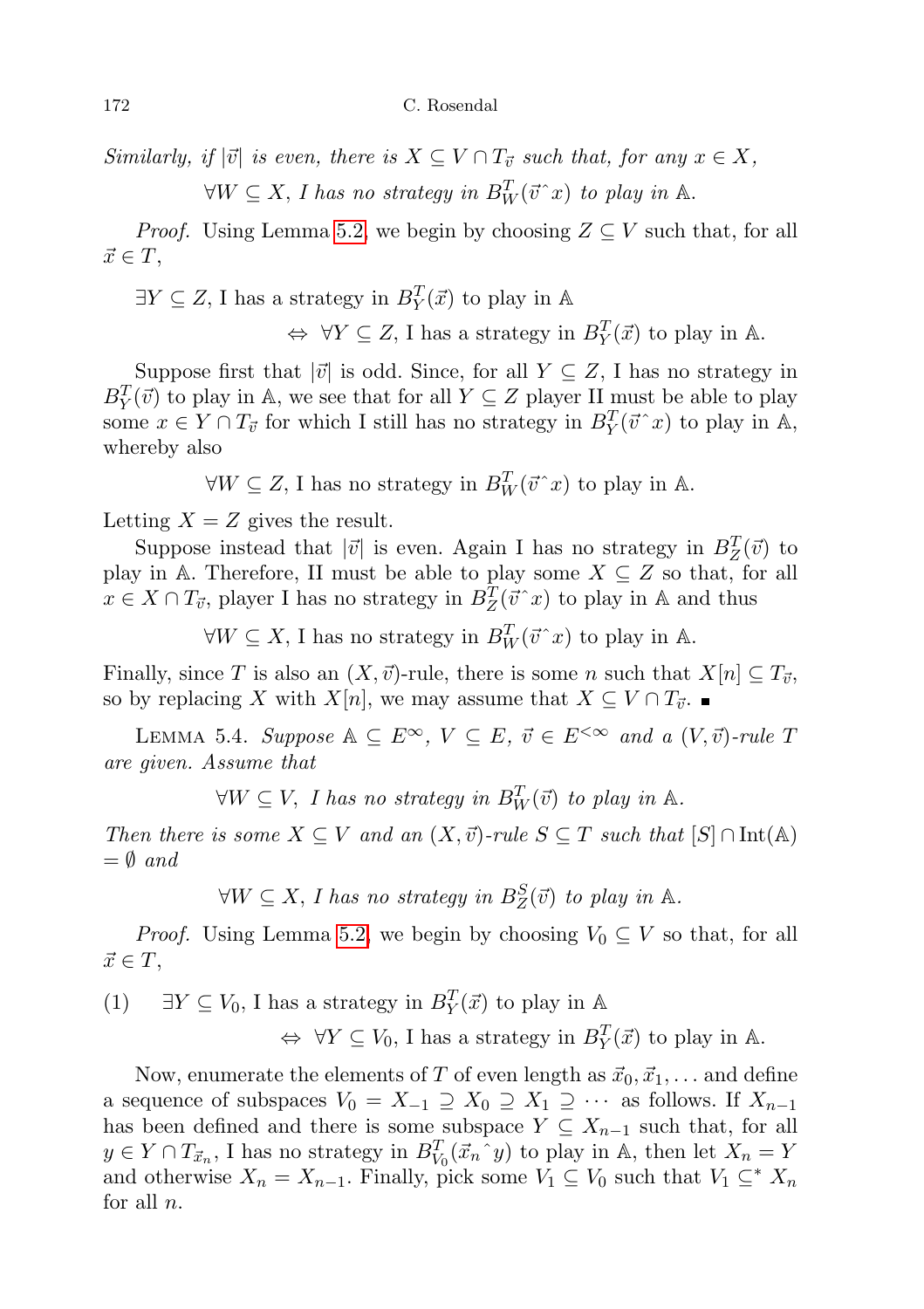Similarly, if  $|\vec{v}|$  is even, there is  $X \subseteq V \cap T_{\vec{v}}$  such that, for any  $x \in X$ ,

 $\forall W \subseteq X$ , I has no strategy in  $B_W^T(\vec{v}^T x)$  to play in A.

*Proof.* Using Lemma [5.2,](#page-8-1) we begin by choosing  $Z \subseteq V$  such that, for all  $\vec{x} \in T$ ,

 $\exists Y \subseteq Z$ , I has a strategy in  $B_Y^T(\vec{x})$  to play in A

 $\Leftrightarrow \forall Y \subseteq Z$ , I has a strategy in  $B_Y^T(\vec{x})$  to play in A.

Suppose first that  $|\vec{v}|$  is odd. Since, for all  $Y \subseteq Z$ , I has no strategy in  $B_Y^T(\vec{v})$  to play in A, we see that for all  $Y \subseteq Z$  player II must be able to play some  $x \in Y \cap T_{\vec{v}}$  for which I still has no strategy in  $B_Y^T(\vec{v}^T x)$  to play in A, whereby also

 $\forall W \subseteq Z$ , I has no strategy in  $B_W^T(\vec{v}^T x)$  to play in A.

Letting  $X = Z$  gives the result.

Suppose instead that  $|\vec{v}|$  is even. Again I has no strategy in  $B_Z^T(\vec{v})$  to play in A. Therefore, II must be able to play some  $X \subseteq Z$  so that, for all  $x \in X \cap T_{\vec{v}}$ , player I has no strategy in  $B_Z^T(\vec{v} \, \hat{\,} x)$  to play in A and thus

 $\forall W \subseteq X$ , I has no strategy in  $B_W^T(\vec{v}^T x)$  to play in A.

Finally, since T is also an  $(X, \vec{v})$ -rule, there is some n such that  $X[n] \subseteq T_{\vec{v}}$ , so by replacing X with  $X[n]$ , we may assume that  $X \subseteq V \cap T_{\vec{v}}$ .

<span id="page-9-1"></span>LEMMA 5.4. Suppose  $\mathbb{A} \subseteq E^{\infty}$ ,  $V \subseteq E$ ,  $\vec{v} \in E^{<\infty}$  and a  $(V, \vec{v})$ -rule T are given. Assume that

 $\forall W \subseteq V$ , I has no strategy in  $B_W^T(\vec{v})$  to play in  $\mathbb{A}$ .

Then there is some  $X \subseteq V$  and an  $(X, \vec{v})$ -rule  $S \subseteq T$  such that  $[S] \cap \text{Int(A)}$  $=\emptyset$  and

 $\forall W \subseteq X$ , I has no strategy in  $B_Z^S(\vec{v})$  to play in A.

*Proof.* Using Lemma [5.2,](#page-8-1) we begin by choosing  $V_0 \subseteq V$  so that, for all  $\vec{x} \in T$ ,

<span id="page-9-0"></span> $(1)$  ∃Y ⊆  $V_0$ , I has a strategy in  $B_Y^T(\vec{x})$  to play in A

 $\Leftrightarrow \forall Y \subseteq V_0$ , I has a strategy in  $B_Y^T(\vec{x})$  to play in A.

Now, enumerate the elements of T of even length as  $\vec{x}_0, \vec{x}_1, \dots$  and define a sequence of subspaces  $V_0 = X_{-1} \supseteq X_0 \supseteq X_1 \supseteq \cdots$  as follows. If  $X_{n-1}$ has been defined and there is some subspace  $Y \subseteq X_{n-1}$  such that, for all  $y \in Y \cap T_{\vec{x}_n}$ , I has no strategy in  $B_{V_0}^T(\vec{x}_n \circ y)$  to play in A, then let  $X_n = Y$ and otherwise  $X_n = X_{n-1}$ . Finally, pick some  $V_1 \subseteq V_0$  such that  $V_1 \subseteq^* X_n$ for all  $n$ .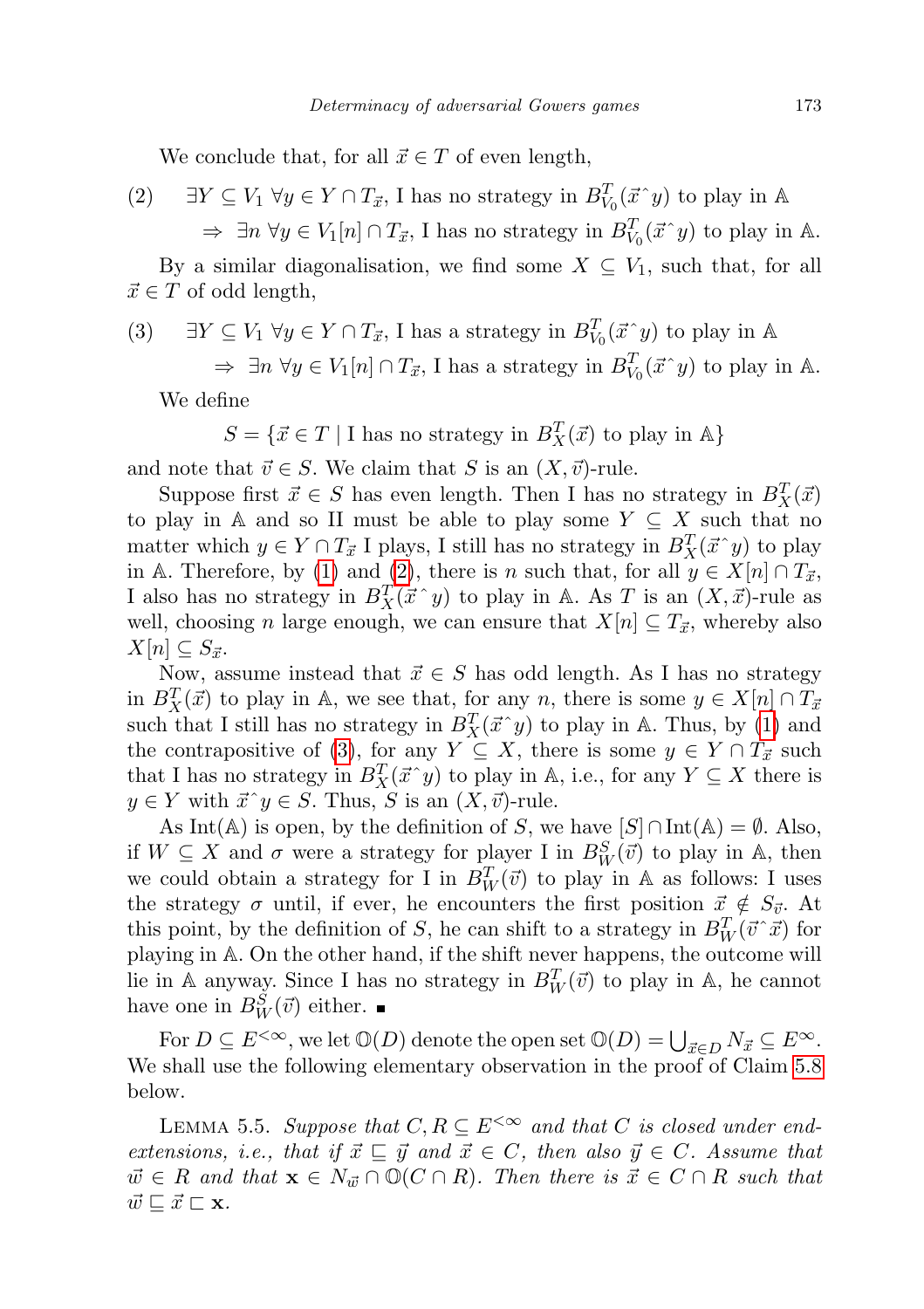We conclude that, for all  $\vec{x} \in T$  of even length,

<span id="page-10-0"></span>(2) 
$$
\exists Y \subseteq V_1 \,\forall y \in Y \cap T_{\vec{x}}, \text{ I has no strategy in } B_{V_0}^T(\vec{x}^y) \text{ to play in } \mathbb{A}
$$

$$
\Rightarrow \exists n \,\forall y \in V_1[n] \cap T_{\vec{x}}, \text{ I has no strategy in } B_{V_0}^T(\vec{x}^y) \text{ to play in } \mathbb{A}.
$$

By a similar diagonalisation, we find some  $X \subseteq V_1$ , such that, for all  $\vec{x} \in T$  of odd length,

<span id="page-10-1"></span>(3) 
$$
\exists Y \subseteq V_1 \,\forall y \in Y \cap T_{\vec{x}}, \text{ I has a strategy in } B_{V_0}^T(\vec{x}^y) \text{ to play in } \mathbb{A}
$$

$$
\Rightarrow \exists n \,\forall y \in V_1[n] \cap T_{\vec{x}}, \text{ I has a strategy in } B_{V_0}^T(\vec{x}^y) \text{ to play in } \mathbb{A}.
$$

We define

$$
S = \{ \vec{x} \in T \mid \text{I has no strategy in } B^T_X(\vec{x}) \text{ to play in } \mathbb{A} \}
$$

and note that  $\vec{v} \in S$ . We claim that S is an  $(X, \vec{v})$ -rule.

Suppose first  $\vec{x} \in S$  has even length. Then I has no strategy in  $B_X^T(\vec{x})$ to play in A and so II must be able to play some  $Y \subseteq X$  such that no matter which  $y \in Y \cap T_{\vec{x}}$  I plays, I still has no strategy in  $B_X^T(\vec{x}^y)$  to play in A. Therefore, by [\(1\)](#page-9-0) and [\(2\)](#page-10-0), there is n such that, for all  $y \in X[n] \cap T_{\vec{x}}$ , I also has no strategy in  $B_X^T(\vec{x}^y)$  to play in A. As T is an  $(X, \vec{x})$ -rule as well, choosing n large enough, we can ensure that  $X[n] \subseteq T_{\vec{x}}$ , whereby also  $X[n] \subseteq S_{\vec{x}}$ .

Now, assume instead that  $\vec{x} \in S$  has odd length. As I has no strategy in  $B_X^T(\vec{x})$  to play in A, we see that, for any n, there is some  $y \in X[n] \cap T_{\vec{x}}$ such that I still has no strategy in  $B_X^T(\vec{x}^y)$  to play in A. Thus, by [\(1\)](#page-9-0) and the contrapositive of [\(3\)](#page-10-1), for any  $Y \subseteq X$ , there is some  $y \in Y \cap T_{\vec{x}}$  such that I has no strategy in  $B_X^T(\vec{x}^{\,\,\cdot\,} y)$  to play in A, i.e., for any  $Y \subseteq X$  there is  $y \in Y$  with  $\vec{x}$   $y \in S$ . Thus, S is an  $(X, \vec{v})$ -rule.

As Int(A) is open, by the definition of S, we have  $[S] \cap \text{Int}(A) = \emptyset$ . Also, if  $W \subseteq X$  and  $\sigma$  were a strategy for player I in  $B_W^S(\vec{v})$  to play in A, then we could obtain a strategy for I in  $B_W^T(\vec{v})$  to play in A as follows: I uses the strategy  $\sigma$  until, if ever, he encounters the first position  $\vec{x} \notin S_{\vec{v}}$ . At this point, by the definition of S, he can shift to a strategy in  $B_W^T(\vec{v} \, \vec{x})$  for playing in A. On the other hand, if the shift never happens, the outcome will lie in A anyway. Since I has no strategy in  $B_W^T(\vec{v})$  to play in A, he cannot have one in  $B_W^S(\vec{v})$  either.

For  $D \subseteq E^{<\infty}$ , we let  $\mathbb{O}(D)$  denote the open set  $\mathbb{O}(D) = \bigcup_{\vec{x} \in D} N_{\vec{x}} \subseteq E^\infty$ . We shall use the following elementary observation in the proof of Claim [5.8](#page-12-0) below.

<span id="page-10-2"></span>LEMMA 5.5. Suppose that  $C, R \subseteq E^{\leq \infty}$  and that C is closed under endextensions, i.e., that if  $\vec{x} \subseteq \vec{y}$  and  $\vec{x} \in C$ , then also  $\vec{y} \in C$ . Assume that  $\vec{w} \in R$  and that  $\mathbf{x} \in N_{\vec{w}} \cap \mathbb{O}(C \cap R)$ . Then there is  $\vec{x} \in C \cap R$  such that  $\vec{w} \sqsubseteq \vec{x} \sqsubset \mathbf{x}$ .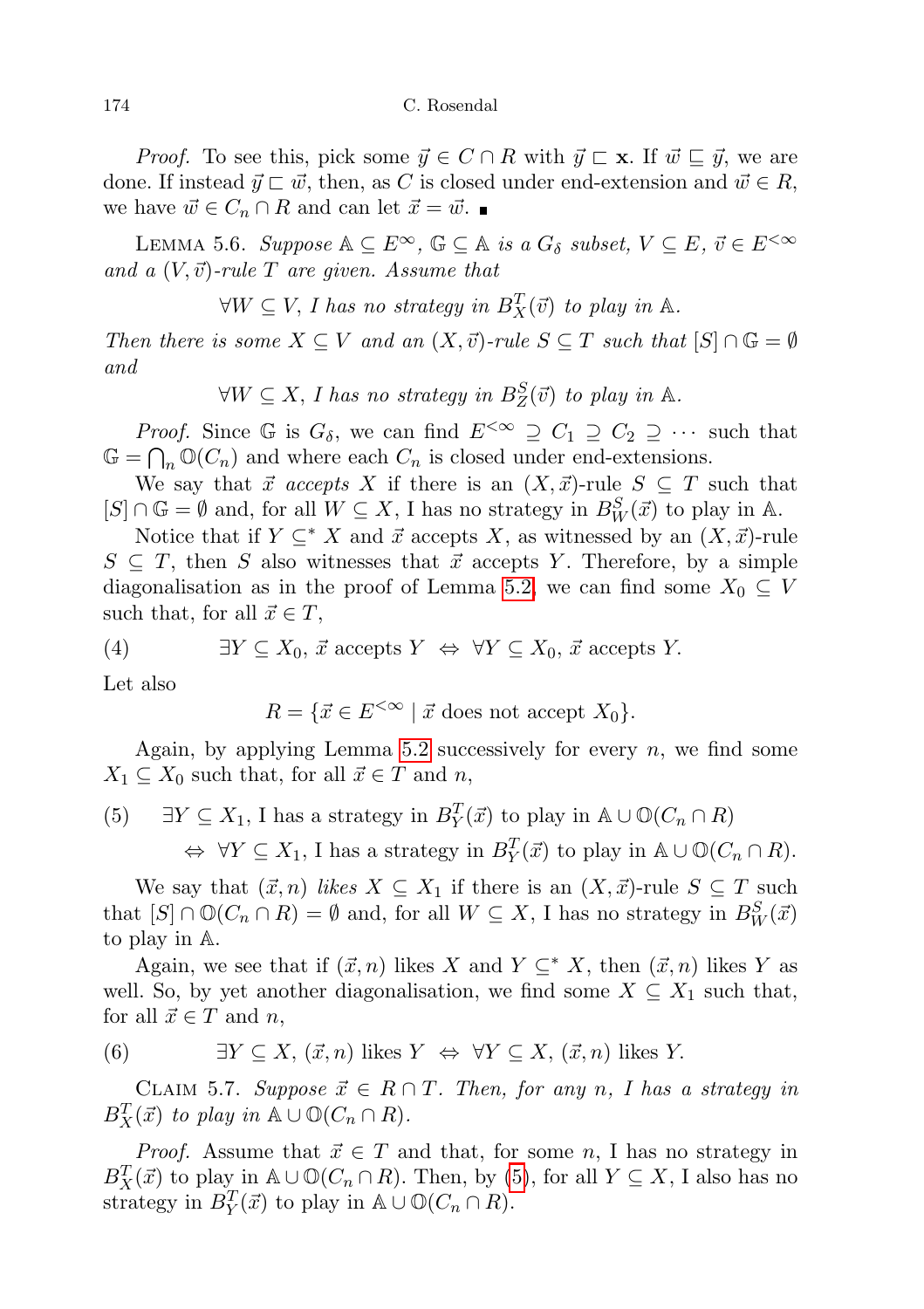*Proof.* To see this, pick some  $\vec{y} \in C \cap R$  with  $\vec{y} \subset \mathbf{x}$ . If  $\vec{w} \subseteq \vec{y}$ , we are done. If instead  $\vec{y} \sqsubset \vec{w}$ , then, as C is closed under end-extension and  $\vec{w} \in R$ , we have  $\vec{w} \in C_n \cap R$  and can let  $\vec{x} = \vec{w}$ .

<span id="page-11-4"></span>LEMMA 5.6. Suppose  $\mathbb{A} \subseteq E^{\infty}$ ,  $\mathbb{G} \subseteq \mathbb{A}$  is a  $G_{\delta}$  subset,  $V \subseteq E$ ,  $\vec{v} \in E^{<\infty}$ and a  $(V, \vec{v})$ -rule T are given. Assume that

 $\forall W \subseteq V$ , I has no strategy in  $B_X^T(\vec{v})$  to play in  $\mathbb{A}$ .

Then there is some  $X \subseteq V$  and an  $(X, \vec{v})$ -rule  $S \subseteq T$  such that  $[S] \cap \mathbb{G} = \emptyset$ and

 $\forall W \subseteq X$ , I has no strategy in  $B_Z^S(\vec{v})$  to play in A.

*Proof.* Since G is  $G_{\delta}$ , we can find  $E^{<\infty} \supseteq C_1 \supseteq C_2 \supseteq \cdots$  such that  $\mathbb{G} = \bigcap_n \mathbb{O}(C_n)$  and where each  $C_n$  is closed under end-extensions.

We say that  $\vec{x}$  accepts X if there is an  $(X, \vec{x})$ -rule  $S \subseteq T$  such that  $[S] \cap \mathbb{G} = \emptyset$  and, for all  $W \subseteq X$ , I has no strategy in  $B_W^S(\vec{x})$  to play in A.

Notice that if  $Y \subseteq^* X$  and  $\vec{x}$  accepts X, as witnessed by an  $(X, \vec{x})$ -rule  $S \subseteq T$ , then S also witnesses that  $\vec{x}$  accepts Y. Therefore, by a simple diagonalisation as in the proof of Lemma [5.2,](#page-8-1) we can find some  $X_0 \subseteq V$ such that, for all  $\vec{x} \in T$ ,

(4) 
$$
\exists Y \subseteq X_0, \vec{x} \text{ accepts } Y \Leftrightarrow \forall Y \subseteq X_0, \vec{x} \text{ accepts } Y.
$$

Let also

<span id="page-11-2"></span> $R = \{ \vec{x} \in E^{< \infty} \mid \vec{x} \text{ does not accept } X_0 \}.$ 

Again, by applying Lemma [5.2](#page-8-1) successively for every  $n$ , we find some  $X_1 \subseteq X_0$  such that, for all  $\vec{x} \in T$  and n,

<span id="page-11-0"></span>(5)  $\exists Y \subseteq X_1$ , I has a strategy in  $B_Y^T(\vec{x})$  to play in  $\mathbb{A} \cup \mathbb{O}(C_n \cap R)$  $\Leftrightarrow \forall Y \subseteq X_1$ , I has a strategy in  $B_Y^T(\vec{x})$  to play in  $\mathbb{A} \cup \mathbb{O}(C_n \cap R)$ .

We say that  $(\vec{x}, n)$  likes  $X \subseteq X_1$  if there is an  $(X, \vec{x})$ -rule  $S \subseteq T$  such that  $[S] \cap \mathbb{O}(C_n \cap R) = \emptyset$  and, for all  $W \subseteq X$ , I has no strategy in  $B_W^S(\vec{x})$ to play in A.

Again, we see that if  $(\vec{x}, n)$  likes X and  $Y \subseteq^* X$ , then  $(\vec{x}, n)$  likes Y as well. So, by yet another diagonalisation, we find some  $X \subseteq X_1$  such that, for all  $\vec{x} \in T$  and n,

<span id="page-11-1"></span>(6) 
$$
\exists Y \subseteq X, (\vec{x}, n)
$$
 likes  $Y \Leftrightarrow \forall Y \subseteq X, (\vec{x}, n)$  likes Y.

<span id="page-11-3"></span>CLAIM 5.7. Suppose  $\vec{x} \in R \cap T$ . Then, for any n, I has a strategy in  $B_X^T(\vec{x})$  to play in  $\mathbb{A} \cup \mathbb{O}(C_n \cap R)$ .

*Proof.* Assume that  $\vec{x} \in T$  and that, for some n, I has no strategy in  $B_X^T(\vec{x})$  to play in A  $\cup \mathbb{O}(C_n \cap R)$ . Then, by [\(5\)](#page-11-0), for all  $Y \subseteq X$ , I also has no strategy in  $B_Y^T(\vec{x})$  to play in  $\mathbb{A} \cup \mathbb{O}(C_n \cap R)$ .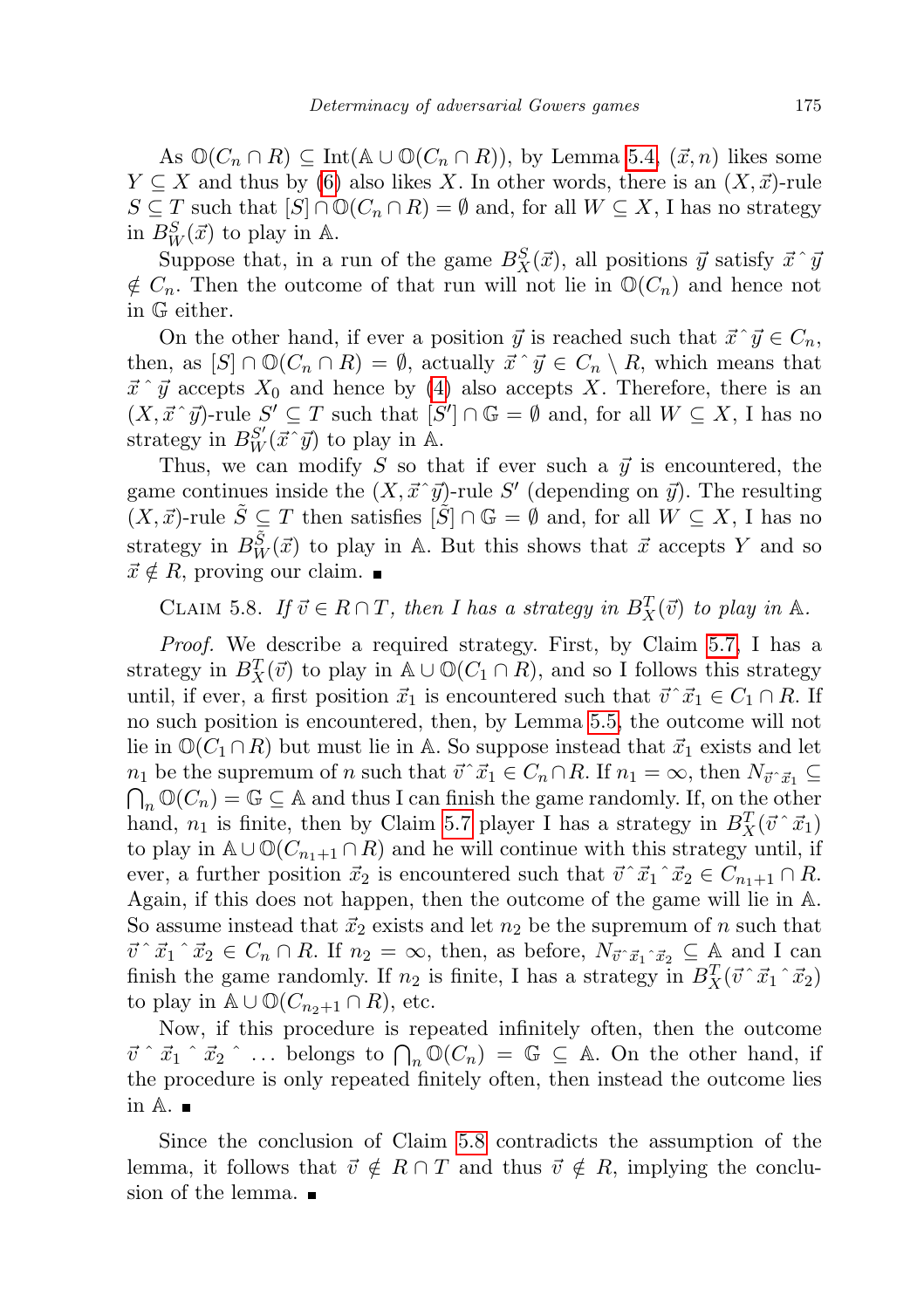As  $\mathbb{O}(C_n \cap R) \subseteq \text{Int}(\mathbb{A} \cup \mathbb{O}(C_n \cap R)),$  by Lemma [5.4,](#page-9-1)  $(\vec{x}, n)$  likes some  $Y \subseteq X$  and thus by [\(6\)](#page-11-1) also likes X. In other words, there is an  $(X, \vec{x})$ -rule  $S \subseteq T$  such that  $[S] \cap \mathbb{O}(C_n \cap R) = \emptyset$  and, for all  $W \subseteq X$ , I has no strategy in  $B_W^S(\vec{x})$  to play in A.

Suppose that, in a run of the game  $B_X^S(\vec{x})$ , all positions  $\vec{y}$  satisfy  $\vec{x} \hat{\ } \vec{y}$  $\notin C_n$ . Then the outcome of that run will not lie in  $\mathbb{O}(C_n)$  and hence not in G either.

On the other hand, if ever a position  $\vec{y}$  is reached such that  $\vec{x} \, \vec{y} \in C_n$ , then, as  $[S] \cap \mathbb{O}(C_n \cap R) = \emptyset$ , actually  $\vec{x} \hat{\ } \vec{y} \in C_n \setminus R$ , which means that  $\vec{x} \hat{i}$   $\vec{y}$  accepts  $X_0$  and hence by [\(4\)](#page-11-2) also accepts X. Therefore, there is an  $(X, \vec{x} \, \hat{\,} \, \vec{y})$ -rule  $S' \subseteq T$  such that  $[S'] \cap \mathbb{G} = \emptyset$  and, for all  $W \subseteq X$ , I has no strategy in  $B_W^{S'}(\vec{x} \, \hat{\mathbf{y}})$  to play in A.

Thus, we can modify S so that if ever such a  $\vec{y}$  is encountered, the game continues inside the  $(X, \vec{x} \, \hat{\,} \vec{y})$ -rule S' (depending on  $\vec{y}$ ). The resulting  $(X, \vec{x})$ -rule  $\tilde{S} \subseteq T$  then satisfies  $[\tilde{S}] \cap \mathbb{G} = \emptyset$  and, for all  $W \subseteq X$ , I has no strategy in  $B_W^{\tilde{S}}(\vec{x})$  to play in A. But this shows that  $\vec{x}$  accepts Y and so  $\vec{x} \notin R$ , proving our claim.

<span id="page-12-0"></span>CLAIM 5.8. If  $\vec{v} \in R \cap T$ , then I has a strategy in  $B_X^T(\vec{v})$  to play in A.

Proof. We describe a required strategy. First, by Claim [5.7,](#page-11-3) I has a strategy in  $B_X^T(\vec{v})$  to play in  $\mathbb{A} \cup \mathbb{O}(C_1 \cap R)$ , and so I follows this strategy until, if ever, a first position  $\vec{x}_1$  is encountered such that  $\vec{v}~\vec{x}_1 \in C_1 \cap R$ . If no such position is encountered, then, by Lemma [5.5,](#page-10-2) the outcome will not lie in  $\mathbb{O}(C_1 \cap R)$  but must lie in A. So suppose instead that  $\vec{x}_1$  exists and let  $n_1$  be the supremum of n such that  $\vec{v}~\vec{x}_1 \in C_n \cap R$ . If  $n_1 = \infty$ , then  $N_{\vec{v}~\vec{x}_1} \subseteq$  $\bigcap_n \mathbb{O}(C_n) = \mathbb{G} \subseteq \mathbb{A}$  and thus I can finish the game randomly. If, on the other hand,  $n_1$  is finite, then by Claim [5.7](#page-11-3) player I has a strategy in  $B_X^T(\vec{v} \, \hat{\,} \, \vec{x}_1)$ to play in  $\mathbb{A} \cup \mathbb{O}(C_{n_1+1} \cap R)$  and he will continue with this strategy until, if ever, a further position  $\vec{x}_2$  is encountered such that  $\vec{v}~\hat{x}_1~\hat{x}_2 \in C_{n_1+1} \cap R$ . Again, if this does not happen, then the outcome of the game will lie in A. So assume instead that  $\vec{x}_2$  exists and let  $n_2$  be the supremum of n such that  $\vec{v} \, \hat{\cdot} \, \vec{x}_1 \, \hat{\cdot} \, \vec{x}_2 \in C_n \cap R$ . If  $n_2 = \infty$ , then, as before,  $N_{\vec{v} \, \hat{\cdot} \, \vec{x}_1 \, \hat{\cdot} \, \vec{x}_2} \subseteq A$  and I can finish the game randomly. If  $n_2$  is finite, I has a strategy in  $B_X^T(\vec{v} \, \hat{\,} \vec{x}_1 \, \hat{\,} \vec{x}_2)$ to play in  $\mathbb{A} \cup \mathbb{O}(C_{n_2+1} \cap R)$ , etc.

Now, if this procedure is repeated infinitely often, then the outcome  $\vec{v} \upharpoonright \vec{x}_1 \upharpoonright \vec{x}_2 \upharpoonright ...$  belongs to  $\bigcap_n \mathbb{O}(C_n) = \mathbb{G} \subseteq \mathbb{A}$ . On the other hand, if the procedure is only repeated finitely often, then instead the outcome lies in  $A.$ 

Since the conclusion of Claim [5.8](#page-12-0) contradicts the assumption of the lemma, it follows that  $\vec{v} \notin R \cap T$  and thus  $\vec{v} \notin R$ , implying the conclusion of the lemma.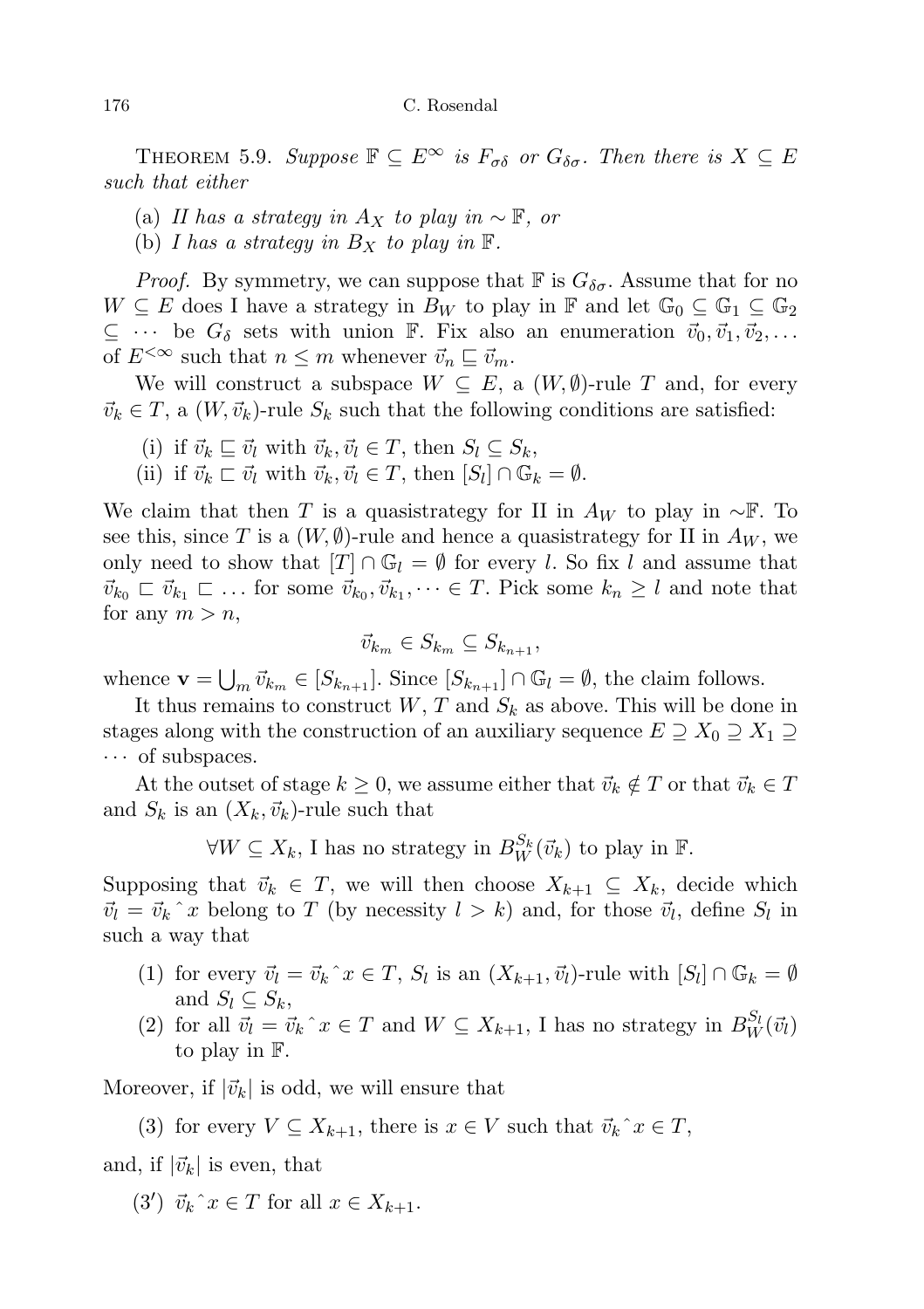THEOREM 5.9. Suppose  $\mathbb{F} \subseteq E^{\infty}$  is  $F_{\sigma\delta}$  or  $G_{\delta\sigma}$ . Then there is  $X \subseteq E$ such that either

- (a) II has a strategy in  $A_X$  to play in  $\sim \mathbb{F}$ , or
- (b) I has a strategy in  $B_X$  to play in  $\mathbb F$ .

*Proof.* By symmetry, we can suppose that  $\mathbb F$  is  $G_{\delta\sigma}$ . Assume that for no  $W \subseteq E$  does I have a strategy in  $B_W$  to play in F and let  $\mathbb{G}_0 \subseteq \mathbb{G}_1 \subseteq \mathbb{G}_2$  $\subseteq \cdots$  be  $G_{\delta}$  sets with union  $\mathbb{F}$ . Fix also an enumeration  $\vec{v}_0, \vec{v}_1, \vec{v}_2, \ldots$ of  $E^{<\infty}$  such that  $n \leq m$  whenever  $\vec{v}_n \sqsubseteq \vec{v}_m$ .

We will construct a subspace  $W \subseteq E$ , a  $(W, \emptyset)$ -rule T and, for every  $\vec{v}_k \in T$ , a  $(W, \vec{v}_k)$ -rule  $S_k$  such that the following conditions are satisfied:

- (i) if  $\vec{v}_k \sqsubseteq \vec{v}_l$  with  $\vec{v}_k, \vec{v}_l \in T$ , then  $S_l \subseteq S_k$ ,
- (ii) if  $\vec{v}_k \sqsubset \vec{v}_l$  with  $\vec{v}_k, \vec{v}_l \in T$ , then  $[S_l] \cap \mathbb{G}_k = \emptyset$ .

We claim that then T is a quasistrategy for II in  $A_W$  to play in ∼F. To see this, since T is a  $(W, \emptyset)$ -rule and hence a quasistrategy for II in  $A_W$ , we only need to show that  $[T] \cap \mathbb{G}_l = \emptyset$  for every l. So fix l and assume that  $\vec{v}_{k_0} \subset \vec{v}_{k_1} \subset \dots$  for some  $\vec{v}_{k_0}, \vec{v}_{k_1}, \dots \in T$ . Pick some  $k_n \geq l$  and note that for any  $m > n$ ,

$$
\vec{v}_{k_m} \in S_{k_m} \subseteq S_{k_{n+1}},
$$

whence  $\mathbf{v} = \bigcup_m \vec{v}_{k_m} \in [S_{k_{n+1}}]$ . Since  $[S_{k_{n+1}}] \cap \mathbb{G}_l = \emptyset$ , the claim follows.

It thus remains to construct W, T and  $S_k$  as above. This will be done in stages along with the construction of an auxiliary sequence  $E \supseteq X_0 \supseteq X_1 \supseteq$  $\cdots$  of subspaces.

At the outset of stage  $k \geq 0$ , we assume either that  $\vec{v}_k \notin T$  or that  $\vec{v}_k \in T$ and  $S_k$  is an  $(X_k, \vec{v}_k)$ -rule such that

 $\forall W \subseteq X_k$ , I has no strategy in  $B_W^{S_k}(\vec{v}_k)$  to play in  $\mathbb{F}$ .

Supposing that  $\vec{v}_k \in T$ , we will then choose  $X_{k+1} \subseteq X_k$ , decide which  $\vec{v}_l = \vec{v}_k \hat{i} x$  belong to T (by necessity  $l > k$ ) and, for those  $\vec{v}_l$ , define  $S_l$  in such a way that

- (1) for every  $\vec{v}_l = \vec{v}_k \hat{x} \in T$ ,  $S_l$  is an  $(X_{k+1}, \vec{v}_l)$ -rule with  $[S_l] \cap \mathbb{G}_k = \emptyset$ and  $S_l \subseteq S_k$ ,
- (2) for all  $\vec{v}_l = \vec{v}_k \hat{x} \in T$  and  $W \subseteq X_{k+1}$ , I has no strategy in  $B_W^{S_l}(\vec{v}_l)$ to play in F.

Moreover, if  $|\vec{v}_k|$  is odd, we will ensure that

(3) for every  $V \subseteq X_{k+1}$ , there is  $x \in V$  such that  $\vec{v}_k$ <sup> $\hat{v}_k \in T$ </sup>,

and, if  $|\vec{v}_k|$  is even, that

(3')  $\vec{v}_k$ <sup> $\hat{v}_k$ </sup>  $\in$  T for all  $x \in X_{k+1}$ .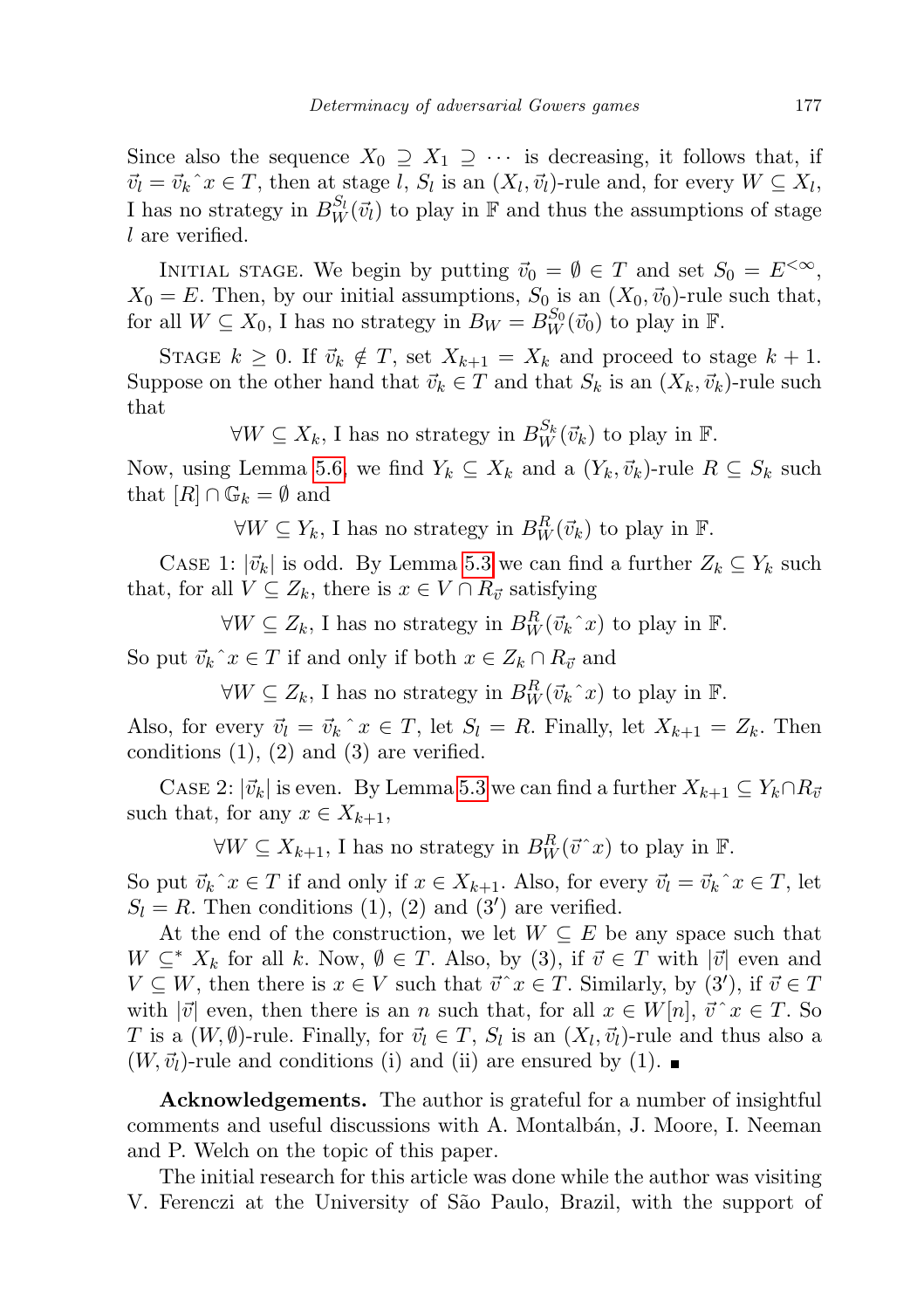Since also the sequence  $X_0 \supseteq X_1 \supseteq \cdots$  is decreasing, it follows that, if  $\vec{v}_l = \vec{v}_k \hat{i} x \in T$ , then at stage l,  $S_l$  is an  $(X_l, \vec{v}_l)$ -rule and, for every  $W \subseteq X_l$ , I has no strategy in  $B_W^{S_l}(\vec{v}_l)$  to play in  $\mathbb F$  and thus the assumptions of stage l are verified.

INITIAL STAGE. We begin by putting  $\vec{v}_0 = \emptyset \in T$  and set  $S_0 = E^{<\infty}$ ,  $X_0 = E$ . Then, by our initial assumptions,  $S_0$  is an  $(X_0, \vec{v}_0)$ -rule such that, for all  $W \subseteq X_0$ , I has no strategy in  $B_W = B_W^{S_0}(\vec{v}_0)$  to play in  $\mathbb{F}$ .

STAGE  $k \geq 0$ . If  $\vec{v}_k \notin T$ , set  $X_{k+1} = X_k$  and proceed to stage  $k+1$ . Suppose on the other hand that  $\vec{v}_k \in T$  and that  $S_k$  is an  $(X_k, \vec{v}_k)$ -rule such that

 $\forall W \subseteq X_k$ , I has no strategy in  $B_W^{S_k}(\vec{v}_k)$  to play in  $\mathbb{F}$ .

Now, using Lemma [5.6,](#page-11-4) we find  $Y_k \subseteq X_k$  and a  $(Y_k, \vec{v}_k)$ -rule  $R \subseteq S_k$  such that  $[R] \cap \mathbb{G}_k = \emptyset$  and

 $\forall W \subseteq Y_k$ , I has no strategy in  $B_W^R(\vec{v}_k)$  to play in F.

CASE 1:  $|\vec{v}_k|$  is odd. By Lemma [5.3](#page-8-2) we can find a further  $Z_k \subseteq Y_k$  such that, for all  $V \subseteq Z_k$ , there is  $x \in V \cap R_{\vec{v}}$  satisfying

 $\forall W \subseteq Z_k$ , I has no strategy in  $B_W^R(\vec{v}_k^{\, \cdot} x)$  to play in  $\mathbb{F}$ .

So put  $\vec{v}_k$ <sup> $\hat{z}$ </sup>  $\in$  T if and only if both  $x \in Z_k \cap R_{\vec{v}}$  and

 $\forall W \subseteq Z_k$ , I has no strategy in  $B_W^R(\vec{v}_k^{\, \cdot} x)$  to play in  $\mathbb{F}$ .

Also, for every  $\vec{v}_l = \vec{v}_k \hat{i} x \in T$ , let  $S_l = R$ . Finally, let  $X_{k+1} = Z_k$ . Then conditions  $(1)$ ,  $(2)$  and  $(3)$  are verified.

CASE 2:  $|\vec{v}_k|$  is even. By Lemma [5.3](#page-8-2) we can find a further  $X_{k+1} \subseteq Y_k \cap R_{\vec{v}}$ such that, for any  $x \in X_{k+1}$ ,

 $\forall W \subseteq X_{k+1}$ , I has no strategy in  $B_W^R(\vec{v}^{\,\,\cdot\,}x)$  to play in  $\mathbb{F}.$ 

So put  $\vec{v}_k$ <sup> $\hat{v}_k \in T$ </sup> if and only if  $x \in X_{k+1}$ . Also, for every  $\vec{v}_l = \vec{v}_k \hat{v}_k \in T$ , let  $S_l = R$ . Then conditions (1), (2) and (3') are verified.

At the end of the construction, we let  $W \subseteq E$  be any space such that  $W \subseteq^* X_k$  for all k. Now,  $\emptyset \in T$ . Also, by (3), if  $\vec{v} \in T$  with  $|\vec{v}|$  even and  $V \subseteq W$ , then there is  $x \in V$  such that  $\vec{v} \hat{\;} x \in T$ . Similarly, by  $(3')$ , if  $\vec{v} \in T$ with  $|\vec{v}|$  even, then there is an n such that, for all  $x \in W[n], \vec{v} \hat{\;} x \in T$ . So T is a  $(W, \emptyset)$ -rule. Finally, for  $\vec{v}_l \in T$ ,  $S_l$  is an  $(X_l, \vec{v}_l)$ -rule and thus also a  $(W, \vec{v}_l)$ -rule and conditions (i) and (ii) are ensured by (1).

Acknowledgements. The author is grateful for a number of insightful comments and useful discussions with A. Montalbán, J. Moore, I. Neeman and P. Welch on the topic of this paper.

The initial research for this article was done while the author was visiting V. Ferenczi at the University of S˜ao Paulo, Brazil, with the support of